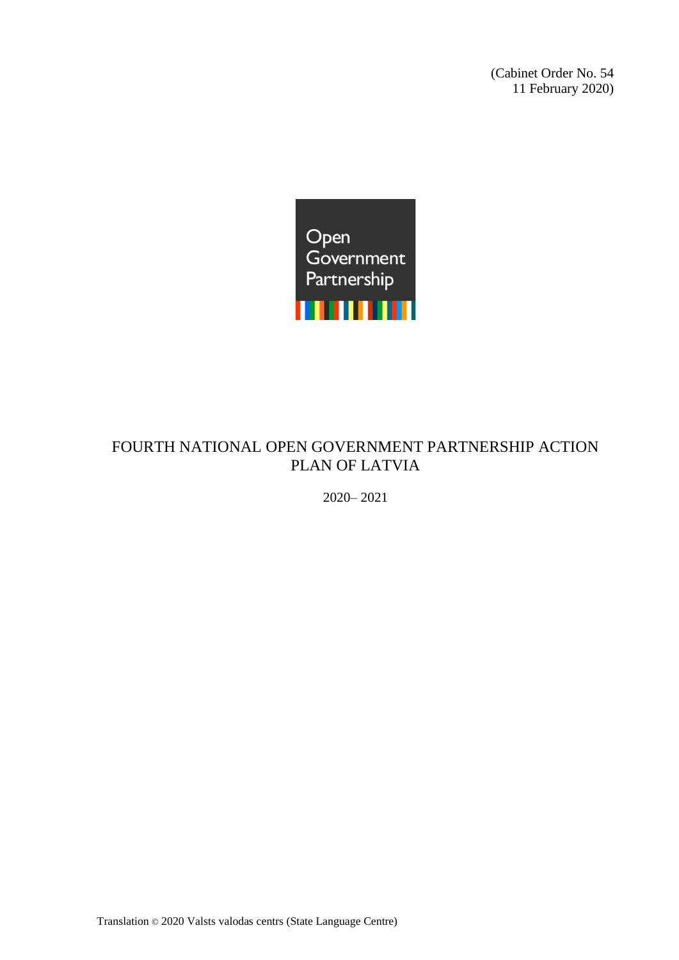(Cabinet Order No. 54 11 February 2020)



# FOURTH NATIONAL OPEN GOVERNMENT PARTNERSHIP ACTION PLAN OF LATVIA

2020– 2021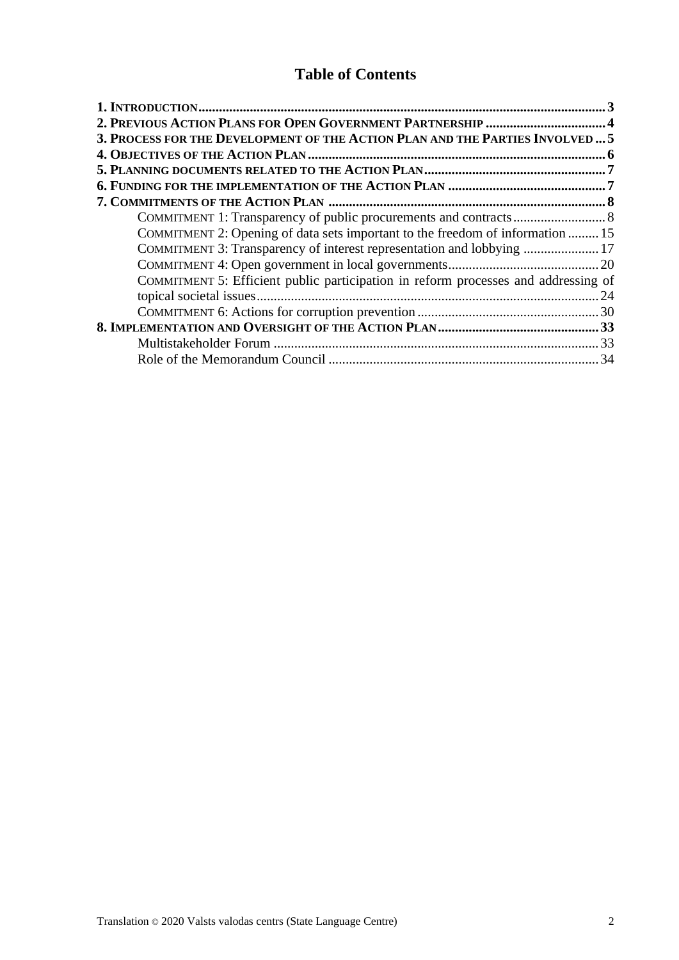# **Table of Contents**

| 3. PROCESS FOR THE DEVELOPMENT OF THE ACTION PLAN AND THE PARTIES INVOLVED  5      |  |
|------------------------------------------------------------------------------------|--|
|                                                                                    |  |
|                                                                                    |  |
|                                                                                    |  |
|                                                                                    |  |
|                                                                                    |  |
| COMMITMENT 2: Opening of data sets important to the freedom of information  15     |  |
| COMMITMENT 3: Transparency of interest representation and lobbying  17             |  |
|                                                                                    |  |
| COMMITMENT 5: Efficient public participation in reform processes and addressing of |  |
|                                                                                    |  |
|                                                                                    |  |
|                                                                                    |  |
|                                                                                    |  |
|                                                                                    |  |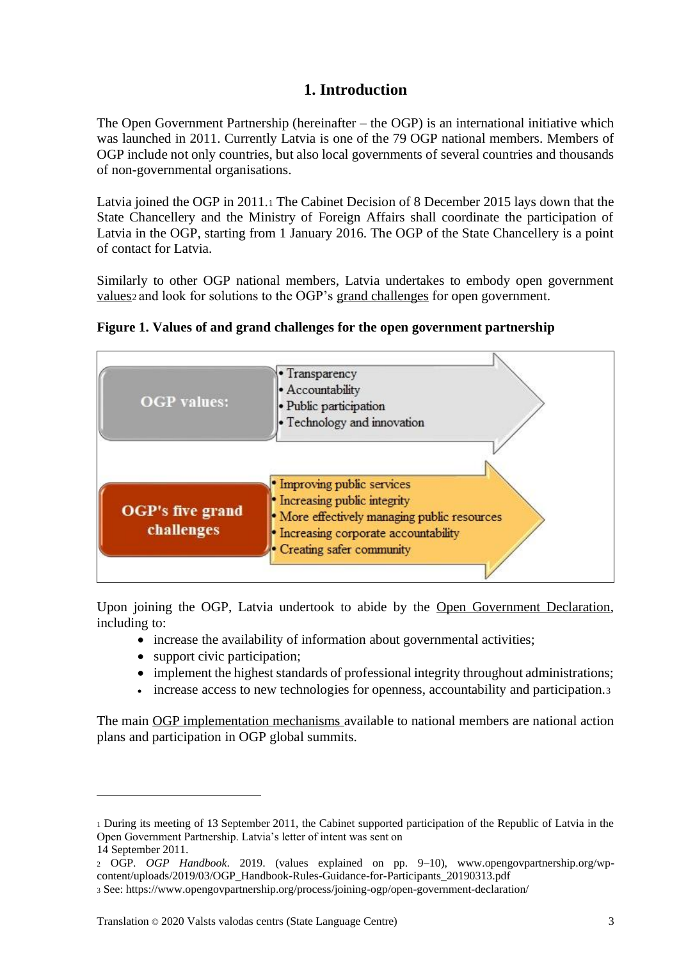# **1. Introduction**

<span id="page-2-0"></span>The Open Government Partnership (hereinafter – the OGP) is an international initiative which was launched in 2011. Currently Latvia is one of the 79 OGP national members. Members of OGP include not only countries, but also local governments of several countries and thousands of non-governmental organisations.

Latvia joined the OGP in 2011.<sup>1</sup> The Cabinet Decision of 8 December 2015 lays down that the State Chancellery and the Ministry of Foreign Affairs shall coordinate the participation of Latvia in the OGP, starting from 1 January 2016. The OGP of the State Chancellery is a point of contact for Latvia.

Similarly to other OGP national members, Latvia undertakes to embody open government values<sub>2</sub> and look for solutions to the OGP's grand challenges for open government.

| <b>OGP</b> values:                    | • Transparency<br>· Accountability<br>· Public participation<br>· Technology and innovation                                                                                         |
|---------------------------------------|-------------------------------------------------------------------------------------------------------------------------------------------------------------------------------------|
| <b>OGP's five grand</b><br>challenges | · Improving public services<br>• Increasing public integrity<br>· More effectively managing public resources<br>• Increasing corporate accountability<br>• Creating safer community |

**Figure 1. Values of and grand challenges for the open government partnership**

Upon joining the OGP. Latvia undertook to abide by the Open Government Declaration, including to:

- increase the availability of information about governmental activities;
- support civic participation;
- implement the highest standards of professional integrity throughout administrations;
- increase access to new technologies for openness, accountability and participation.3

The main OGP implementation mechanisms available to national members are national action plans and participation in OGP global summits.

<sup>1</sup> During its meeting of 13 September 2011, the Cabinet supported participation of the Republic of Latvia in the Open Government Partnership. Latvia's letter of intent was sent on

<sup>14</sup> September 2011.

<sup>2</sup> OGP. *OGP Handbook*. 2019. (values explained on pp. 9–10), www.opengovpartnership.org/wpcontent/uploads/2019/03/OGP\_Handbook-Rules-Guidance-for-Participants\_20190313.pdf

<sup>3</sup> See: https://www.opengovpartnership.org/process/joining-ogp/open-government-declaration/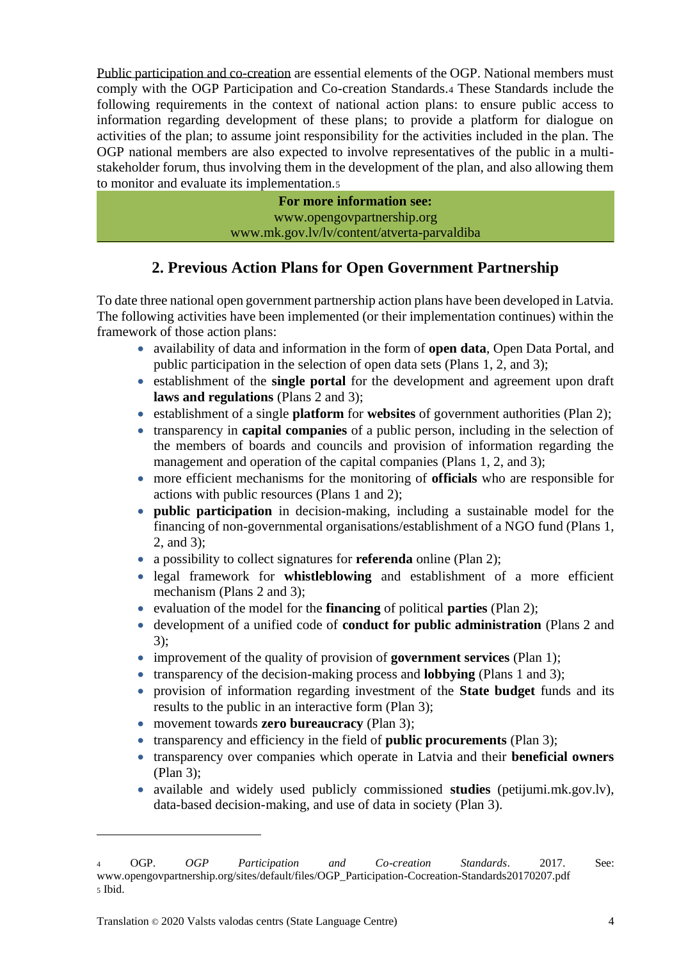Public participation and co-creation are essential elements of the OGP. National members must comply with the OGP Participation and Co-creation Standards.<sup>4</sup> These Standards include the following requirements in the context of national action plans: to ensure public access to information regarding development of these plans; to provide a platform for dialogue on activities of the plan; to assume joint responsibility for the activities included in the plan. The OGP national members are also expected to involve representatives of the public in a multistakeholder forum, thus involving them in the development of the plan, and also allowing them to monitor and evaluate its implementation.<sup>5</sup>

> **For more information see:** www.opengovpartnership.org www.mk.gov.lv/lv/content/atverta-parvaldiba

# **2. Previous Action Plans for Open Government Partnership**

<span id="page-3-0"></span>To date three national open government partnership action plans have been developed in Latvia. The following activities have been implemented (or their implementation continues) within the framework of those action plans:

- availability of data and information in the form of **open data**, Open Data Portal, and public participation in the selection of open data sets (Plans 1, 2, and 3);
- establishment of the **single portal** for the development and agreement upon draft **laws and regulations** (Plans 2 and 3);
- establishment of a single **platform** for **websites** of government authorities (Plan 2);
- transparency in **capital companies** of a public person, including in the selection of the members of boards and councils and provision of information regarding the management and operation of the capital companies (Plans 1, 2, and 3);
- more efficient mechanisms for the monitoring of **officials** who are responsible for actions with public resources (Plans 1 and 2);
- **public participation** in decision-making, including a sustainable model for the financing of non-governmental organisations/establishment of a NGO fund (Plans 1, 2, and 3);
- a possibility to collect signatures for **referenda** online (Plan 2);
- legal framework for **whistleblowing** and establishment of a more efficient mechanism (Plans 2 and 3);
- evaluation of the model for the **financing** of political **parties** (Plan 2);
- development of a unified code of **conduct for public administration** (Plans 2 and 3);
- improvement of the quality of provision of **government services** (Plan 1);
- transparency of the decision-making process and **lobbying** (Plans 1 and 3);
- provision of information regarding investment of the **State budget** funds and its results to the public in an interactive form (Plan 3);
- movement towards **zero bureaucracy** (Plan 3);
- transparency and efficiency in the field of **public procurements** (Plan 3);
- transparency over companies which operate in Latvia and their **beneficial owners** (Plan 3);
- available and widely used publicly commissioned **studies** (petijumi.mk.gov.lv), data-based decision-making, and use of data in society (Plan 3).

<sup>4</sup> OGP. *OGP Participation and Co-creation Standards*. 2017. See: www.opengovpartnership.org/sites/default/files/OGP\_Participation-Cocreation-Standards20170207.pdf <sup>5</sup> Ibid.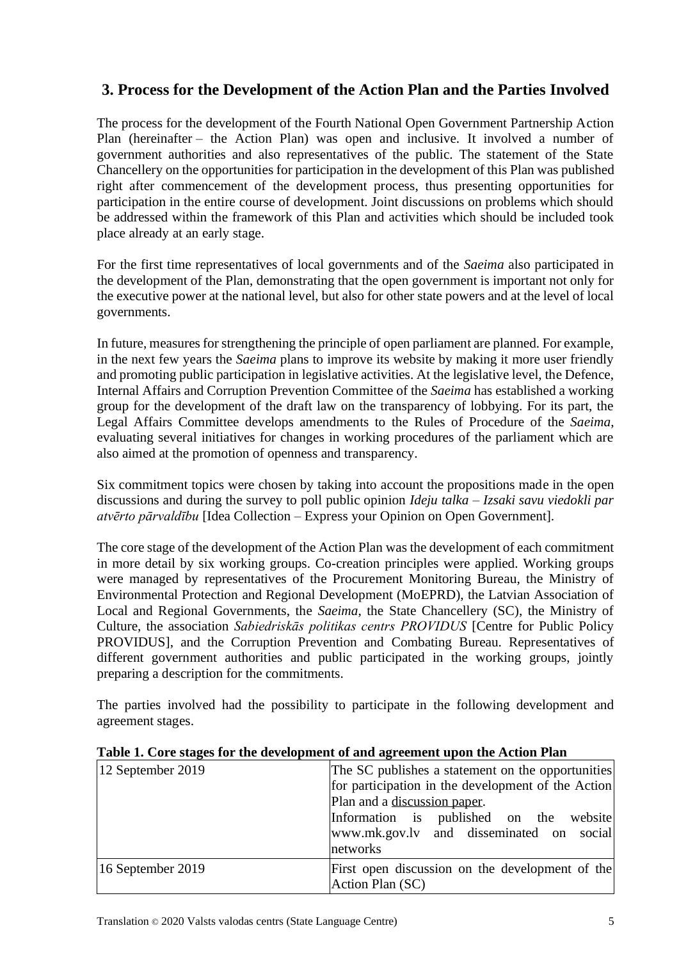# <span id="page-4-0"></span>**3. Process for the Development of the Action Plan and the Parties Involved**

The process for the development of the Fourth National Open Government Partnership Action Plan (hereinafter – the Action Plan) was open and inclusive. It involved a number of government authorities and also representatives of the public. The statement of the State Chancellery on the opportunities for participation in the development of this Plan was published right after commencement of the development process, thus presenting opportunities for participation in the entire course of development. Joint discussions on problems which should be addressed within the framework of this Plan and activities which should be included took place already at an early stage.

For the first time representatives of local governments and of the *Saeima* also participated in the development of the Plan, demonstrating that the open government is important not only for the executive power at the national level, but also for other state powers and at the level of local governments.

In future, measures for strengthening the principle of open parliament are planned. For example, in the next few years the *Saeima* plans to improve its website by making it more user friendly and promoting public participation in legislative activities. At the legislative level, the Defence, Internal Affairs and Corruption Prevention Committee of the *Saeima* has established a working group for the development of the draft law on the transparency of lobbying. For its part, the Legal Affairs Committee develops amendments to the Rules of Procedure of the *Saeima*, evaluating several initiatives for changes in working procedures of the parliament which are also aimed at the promotion of openness and transparency.

Six commitment topics were chosen by taking into account the propositions made in the open discussions and during the survey to poll public opinion *Ideju talka – Izsaki savu viedokli par atvērto pārvaldību* [Idea Collection – Express your Opinion on Open Government].

The core stage of the development of the Action Plan was the development of each commitment in more detail by six working groups. Co-creation principles were applied. Working groups were managed by representatives of the Procurement Monitoring Bureau, the Ministry of Environmental Protection and Regional Development (MoEPRD), the Latvian Association of Local and Regional Governments, the *Saeima*, the State Chancellery (SC), the Ministry of Culture, the association *Sabiedriskās politikas centrs PROVIDUS* [Centre for Public Policy PROVIDUS], and the Corruption Prevention and Combating Bureau. Representatives of different government authorities and public participated in the working groups, jointly preparing a description for the commitments.

The parties involved had the possibility to participate in the following development and agreement stages.

| 12 September 2019 | The SC publishes a statement on the opportunities                   |
|-------------------|---------------------------------------------------------------------|
|                   | for participation in the development of the Action                  |
|                   | Plan and a discussion paper.                                        |
|                   | Information is published on the website                             |
|                   | www.mk.gov.ly and disseminated on social                            |
|                   | networks                                                            |
| 16 September 2019 | First open discussion on the development of the<br>Action Plan (SC) |

#### **Table 1. Core stages for the development of and agreement upon the Action Plan**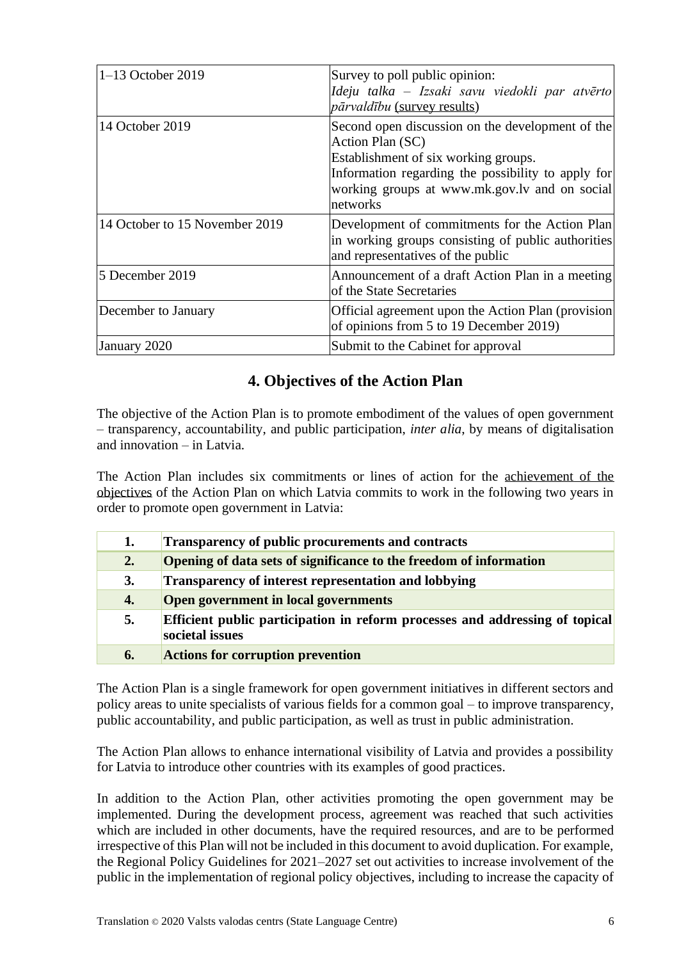| $1-13$ October 2019            | Survey to poll public opinion:<br>Ideju talka - Izsaki savu viedokli par atvērto<br><i>pārvaldību</i> (survey results)                                                                                                          |
|--------------------------------|---------------------------------------------------------------------------------------------------------------------------------------------------------------------------------------------------------------------------------|
| 14 October 2019                | Second open discussion on the development of the<br>Action Plan (SC)<br>Establishment of six working groups.<br>Information regarding the possibility to apply for<br>working groups at www.mk.gov.lv and on social<br>networks |
| 14 October to 15 November 2019 | Development of commitments for the Action Plan<br>in working groups consisting of public authorities<br>and representatives of the public                                                                                       |
| 5 December 2019                | Announcement of a draft Action Plan in a meeting<br>of the State Secretaries                                                                                                                                                    |
| December to January            | Official agreement upon the Action Plan (provision<br>of opinions from 5 to 19 December 2019)                                                                                                                                   |
| January 2020                   | Submit to the Cabinet for approval                                                                                                                                                                                              |

# **4. Objectives of the Action Plan**

<span id="page-5-0"></span>The objective of the Action Plan is to promote embodiment of the values of open government – transparency, accountability, and public participation, *inter alia*, by means of digitalisation and innovation – in Latvia.

The Action Plan includes six commitments or lines of action for the achievement of the objectives of the Action Plan on which Latvia commits to work in the following two years in order to promote open government in Latvia:

| 1. | <b>Transparency of public procurements and contracts</b>                                        |
|----|-------------------------------------------------------------------------------------------------|
| 2. | Opening of data sets of significance to the freedom of information                              |
| 3. | <b>Transparency of interest representation and lobbying</b>                                     |
| 4. | Open government in local governments                                                            |
| 5. | Efficient public participation in reform processes and addressing of topical<br>societal issues |
| 6. | <b>Actions for corruption prevention</b>                                                        |

The Action Plan is a single framework for open government initiatives in different sectors and policy areas to unite specialists of various fields for a common goal – to improve transparency, public accountability, and public participation, as well as trust in public administration.

The Action Plan allows to enhance international visibility of Latvia and provides a possibility for Latvia to introduce other countries with its examples of good practices.

In addition to the Action Plan, other activities promoting the open government may be implemented. During the development process, agreement was reached that such activities which are included in other documents, have the required resources, and are to be performed irrespective of this Plan will not be included in this document to avoid duplication. For example, the Regional Policy Guidelines for 2021–2027 set out activities to increase involvement of the public in the implementation of regional policy objectives, including to increase the capacity of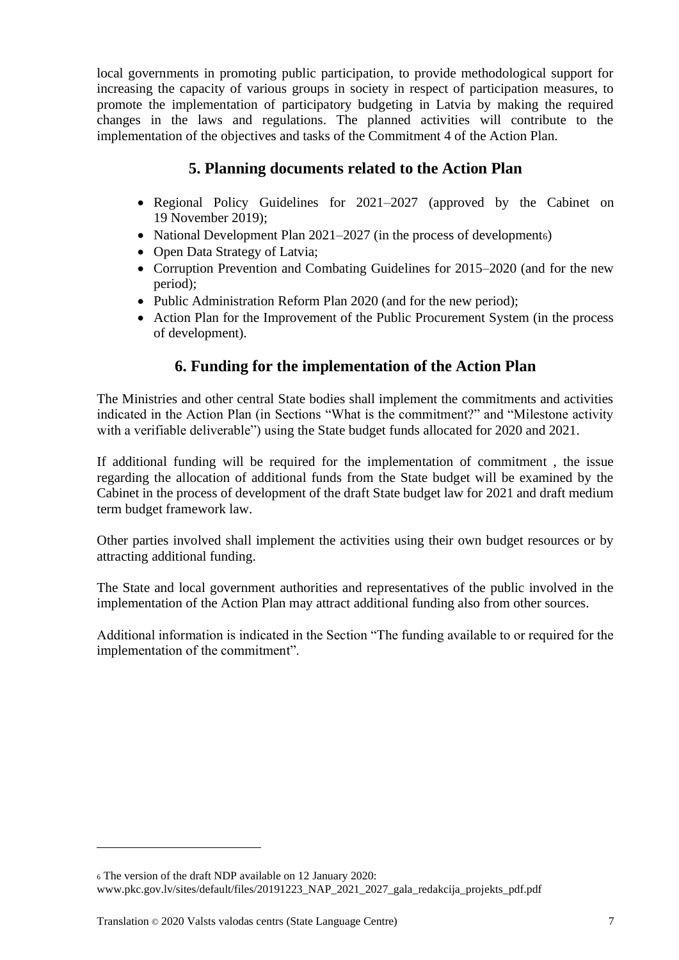local governments in promoting public participation, to provide methodological support for increasing the capacity of various groups in society in respect of participation measures, to promote the implementation of participatory budgeting in Latvia by making the required changes in the laws and regulations. The planned activities will contribute to the implementation of the objectives and tasks of the Commitment 4 of the Action Plan.

# **5. Planning documents related to the Action Plan**

- <span id="page-6-0"></span>• Regional Policy Guidelines for 2021–2027 (approved by the Cabinet on 19 November 2019);
- National Development Plan 2021–2027 (in the process of developments)
- Open Data Strategy of Latvia;
- Corruption Prevention and Combating Guidelines for 2015–2020 (and for the new period);
- Public Administration Reform Plan 2020 (and for the new period);
- Action Plan for the Improvement of the Public Procurement System (in the process of development).

# **6. Funding for the implementation of the Action Plan**

<span id="page-6-1"></span>The Ministries and other central State bodies shall implement the commitments and activities indicated in the Action Plan (in Sections "What is the commitment?" and "Milestone activity with a verifiable deliverable") using the State budget funds allocated for 2020 and 2021.

If additional funding will be required for the implementation of commitment , the issue regarding the allocation of additional funds from the State budget will be examined by the Cabinet in the process of development of the draft State budget law for 2021 and draft medium term budget framework law.

Other parties involved shall implement the activities using their own budget resources or by attracting additional funding.

The State and local government authorities and representatives of the public involved in the implementation of the Action Plan may attract additional funding also from other sources.

Additional information is indicated in the Section "The funding available to or required for the implementation of the commitment".

<sup>6</sup> The version of the draft NDP available on 12 January 2020: www.pkc.gov.lv/sites/default/files/20191223\_NAP\_2021\_2027\_gala\_redakcija\_projekts\_pdf.pdf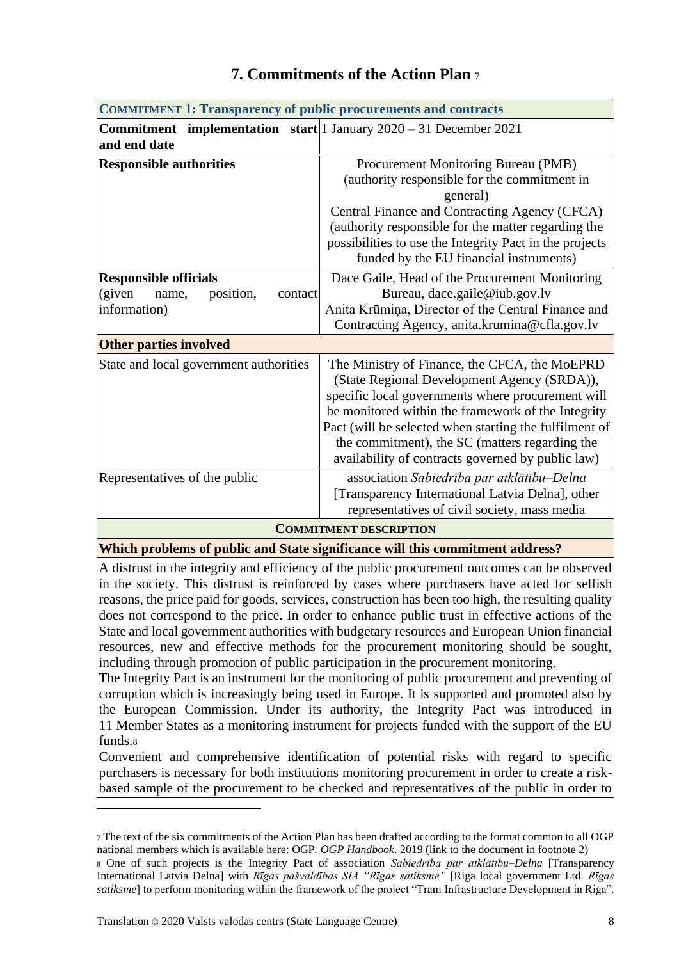<span id="page-7-1"></span><span id="page-7-0"></span>

| <b>COMMITMENT 1: Transparency of public procurements and contracts</b>                     |                                                                                                                                                                                                                                                                                                                                                                          |  |  |  |
|--------------------------------------------------------------------------------------------|--------------------------------------------------------------------------------------------------------------------------------------------------------------------------------------------------------------------------------------------------------------------------------------------------------------------------------------------------------------------------|--|--|--|
| <b>Commitment</b> implementation start 1 January $2020 - 31$ December 2021<br>and end date |                                                                                                                                                                                                                                                                                                                                                                          |  |  |  |
| <b>Responsible authorities</b>                                                             | Procurement Monitoring Bureau (PMB)<br>(authority responsible for the commitment in<br>general)<br>Central Finance and Contracting Agency (CFCA)<br>(authority responsible for the matter regarding the<br>possibilities to use the Integrity Pact in the projects<br>funded by the EU financial instruments)                                                            |  |  |  |
| <b>Responsible officials</b><br>(given<br>position,<br>name,<br>contact<br>information)    | Dace Gaile, Head of the Procurement Monitoring<br>Bureau, dace.gaile@iub.gov.lv<br>Anita Krūmiņa, Director of the Central Finance and<br>Contracting Agency, anita.krumina@cfla.gov.lv                                                                                                                                                                                   |  |  |  |
| <b>Other parties involved</b>                                                              |                                                                                                                                                                                                                                                                                                                                                                          |  |  |  |
| State and local government authorities                                                     | The Ministry of Finance, the CFCA, the MoEPRD<br>(State Regional Development Agency (SRDA)),<br>specific local governments where procurement will<br>be monitored within the framework of the Integrity<br>Pact (will be selected when starting the fulfilment of<br>the commitment), the SC (matters regarding the<br>availability of contracts governed by public law) |  |  |  |
| Representatives of the public                                                              | association Sabiedrība par atklātību–Delna<br>[Transparency International Latvia Delna], other<br>representatives of civil society, mass media                                                                                                                                                                                                                           |  |  |  |
| <b>COMMITMENT DESCRIPTION</b>                                                              |                                                                                                                                                                                                                                                                                                                                                                          |  |  |  |

# **7. Commitments of the Action Plan** <sup>7</sup>

#### **Which problems of public and State significance will this commitment address?**

A distrust in the integrity and efficiency of the public procurement outcomes can be observed in the society. This distrust is reinforced by cases where purchasers have acted for selfish reasons, the price paid for goods, services, construction has been too high, the resulting quality does not correspond to the price. In order to enhance public trust in effective actions of the State and local government authorities with budgetary resources and European Union financial resources, new and effective methods for the procurement monitoring should be sought, including through promotion of public participation in the procurement monitoring.

The Integrity Pact is an instrument for the monitoring of public procurement and preventing of corruption which is increasingly being used in Europe. It is supported and promoted also by the European Commission. Under its authority, the Integrity Pact was introduced in 11 Member States as a monitoring instrument for projects funded with the support of the EU funds.<sup>8</sup>

Convenient and comprehensive identification of potential risks with regard to specific purchasers is necessary for both institutions monitoring procurement in order to create a riskbased sample of the procurement to be checked and representatives of the public in order to

<sup>7</sup> The text of the six commitments of the Action Plan has been drafted according to the format common to all OGP national members which is available here: OGP. *OGP Handbook*. 2019 (link to the document in footnote 2) <sup>8</sup> One of such projects is the Integrity Pact of association *Sabiedrība par atklātību–Delna* [Transparency

International Latvia Delna] with *Rīgas pašvaldības SIA "Rīgas satiksme"* [Riga local government Ltd. *Rīgas satiksme*] to perform monitoring within the framework of the project "Tram Infrastructure Development in Riga".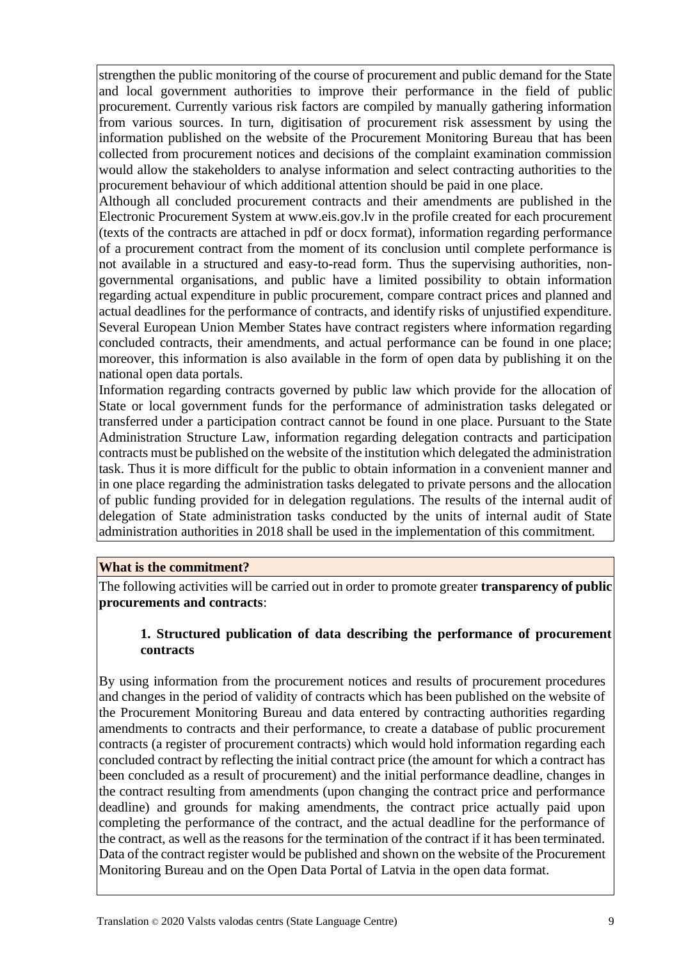strengthen the public monitoring of the course of procurement and public demand for the State and local government authorities to improve their performance in the field of public procurement. Currently various risk factors are compiled by manually gathering information from various sources. In turn, digitisation of procurement risk assessment by using the information published on the website of the Procurement Monitoring Bureau that has been collected from procurement notices and decisions of the complaint examination commission would allow the stakeholders to analyse information and select contracting authorities to the procurement behaviour of which additional attention should be paid in one place.

Although all concluded procurement contracts and their amendments are published in the Electronic Procurement System at www.eis.gov.lv in the profile created for each procurement (texts of the contracts are attached in pdf or docx format), information regarding performance of a procurement contract from the moment of its conclusion until complete performance is not available in a structured and easy-to-read form. Thus the supervising authorities, nongovernmental organisations, and public have a limited possibility to obtain information regarding actual expenditure in public procurement, compare contract prices and planned and actual deadlines for the performance of contracts, and identify risks of unjustified expenditure. Several European Union Member States have contract registers where information regarding concluded contracts, their amendments, and actual performance can be found in one place; moreover, this information is also available in the form of open data by publishing it on the national open data portals.

Information regarding contracts governed by public law which provide for the allocation of State or local government funds for the performance of administration tasks delegated or transferred under a participation contract cannot be found in one place. Pursuant to the State Administration Structure Law, information regarding delegation contracts and participation contracts must be published on the website of the institution which delegated the administration task. Thus it is more difficult for the public to obtain information in a convenient manner and in one place regarding the administration tasks delegated to private persons and the allocation of public funding provided for in delegation regulations. The results of the internal audit of delegation of State administration tasks conducted by the units of internal audit of State administration authorities in 2018 shall be used in the implementation of this commitment.

#### **What is the commitment?**

The following activities will be carried out in order to promote greater **transparency of public procurements and contracts**:

## **1. Structured publication of data describing the performance of procurement contracts**

By using information from the procurement notices and results of procurement procedures and changes in the period of validity of contracts which has been published on the website of the Procurement Monitoring Bureau and data entered by contracting authorities regarding amendments to contracts and their performance, to create a database of public procurement contracts (a register of procurement contracts) which would hold information regarding each concluded contract by reflecting the initial contract price (the amount for which a contract has been concluded as a result of procurement) and the initial performance deadline, changes in the contract resulting from amendments (upon changing the contract price and performance deadline) and grounds for making amendments, the contract price actually paid upon completing the performance of the contract, and the actual deadline for the performance of the contract, as well as the reasons for the termination of the contract if it has been terminated. Data of the contract register would be published and shown on the website of the Procurement Monitoring Bureau and on the Open Data Portal of Latvia in the open data format.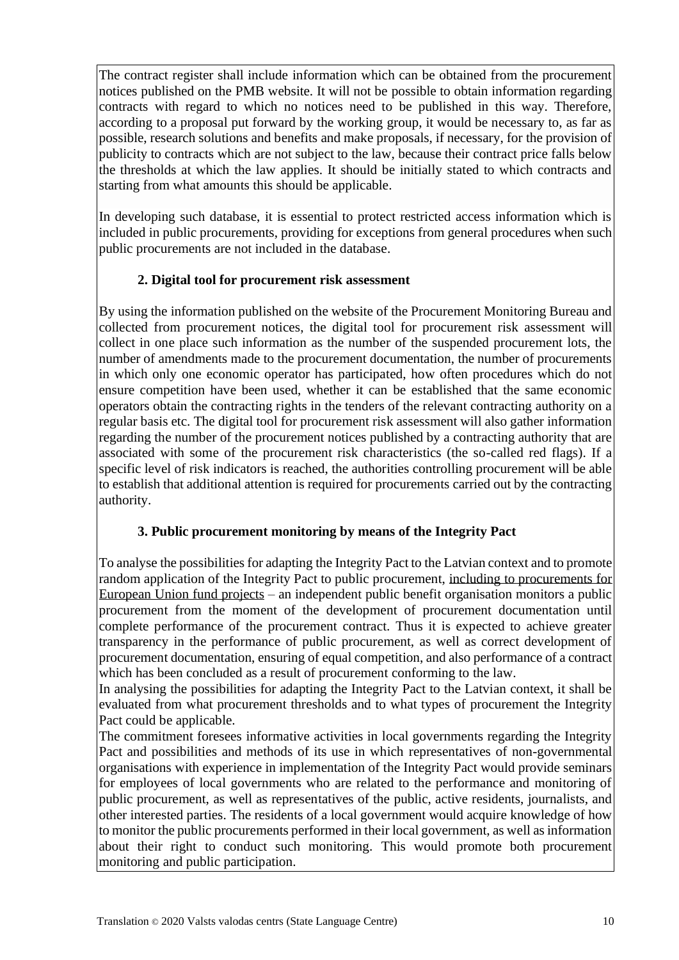The contract register shall include information which can be obtained from the procurement notices published on the PMB website. It will not be possible to obtain information regarding contracts with regard to which no notices need to be published in this way. Therefore, according to a proposal put forward by the working group, it would be necessary to, as far as possible, research solutions and benefits and make proposals, if necessary, for the provision of publicity to contracts which are not subject to the law, because their contract price falls below the thresholds at which the law applies. It should be initially stated to which contracts and starting from what amounts this should be applicable.

In developing such database, it is essential to protect restricted access information which is included in public procurements, providing for exceptions from general procedures when such public procurements are not included in the database.

# **2. Digital tool for procurement risk assessment**

By using the information published on the website of the Procurement Monitoring Bureau and collected from procurement notices, the digital tool for procurement risk assessment will collect in one place such information as the number of the suspended procurement lots, the number of amendments made to the procurement documentation, the number of procurements in which only one economic operator has participated, how often procedures which do not ensure competition have been used, whether it can be established that the same economic operators obtain the contracting rights in the tenders of the relevant contracting authority on a regular basis etc. The digital tool for procurement risk assessment will also gather information regarding the number of the procurement notices published by a contracting authority that are associated with some of the procurement risk characteristics (the so-called red flags). If a specific level of risk indicators is reached, the authorities controlling procurement will be able to establish that additional attention is required for procurements carried out by the contracting authority.

## **3. Public procurement monitoring by means of the Integrity Pact**

To analyse the possibilities for adapting the Integrity Pact to the Latvian context and to promote random application of the Integrity Pact to public procurement, including to procurements for European Union fund projects – an independent public benefit organisation monitors a public procurement from the moment of the development of procurement documentation until complete performance of the procurement contract. Thus it is expected to achieve greater transparency in the performance of public procurement, as well as correct development of procurement documentation, ensuring of equal competition, and also performance of a contract which has been concluded as a result of procurement conforming to the law.

In analysing the possibilities for adapting the Integrity Pact to the Latvian context, it shall be evaluated from what procurement thresholds and to what types of procurement the Integrity Pact could be applicable.

The commitment foresees informative activities in local governments regarding the Integrity Pact and possibilities and methods of its use in which representatives of non-governmental organisations with experience in implementation of the Integrity Pact would provide seminars for employees of local governments who are related to the performance and monitoring of public procurement, as well as representatives of the public, active residents, journalists, and other interested parties. The residents of a local government would acquire knowledge of how to monitor the public procurements performed in their local government, as well as information about their right to conduct such monitoring. This would promote both procurement monitoring and public participation.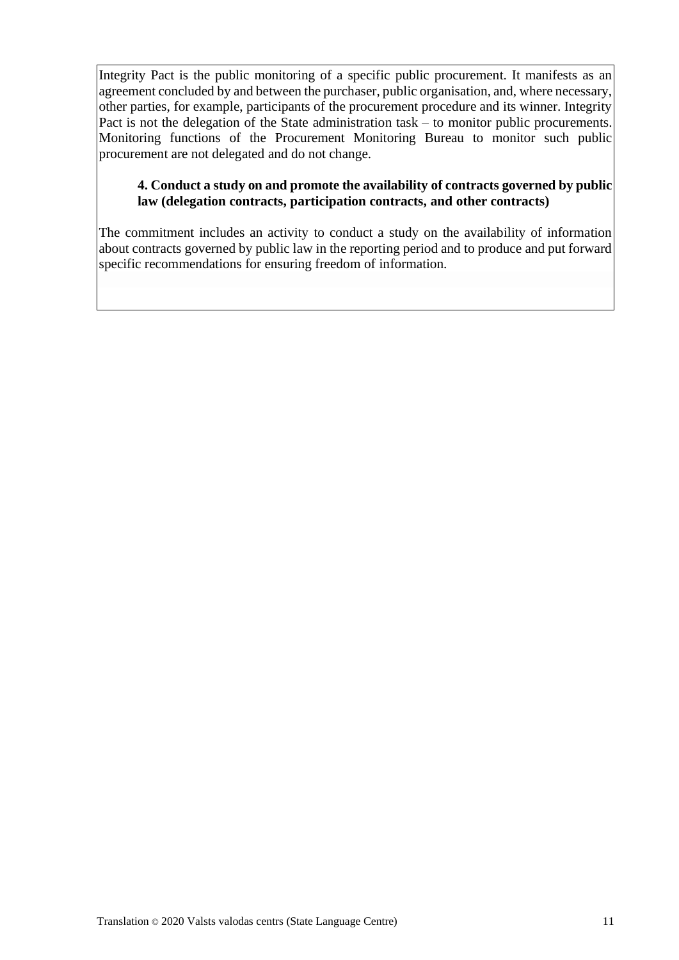Integrity Pact is the public monitoring of a specific public procurement. It manifests as an agreement concluded by and between the purchaser, public organisation, and, where necessary, other parties, for example, participants of the procurement procedure and its winner. Integrity Pact is not the delegation of the State administration task – to monitor public procurements. Monitoring functions of the Procurement Monitoring Bureau to monitor such public procurement are not delegated and do not change.

## **4. Conduct a study on and promote the availability of contracts governed by public law (delegation contracts, participation contracts, and other contracts)**

The commitment includes an activity to conduct a study on the availability of information about contracts governed by public law in the reporting period and to produce and put forward specific recommendations for ensuring freedom of information.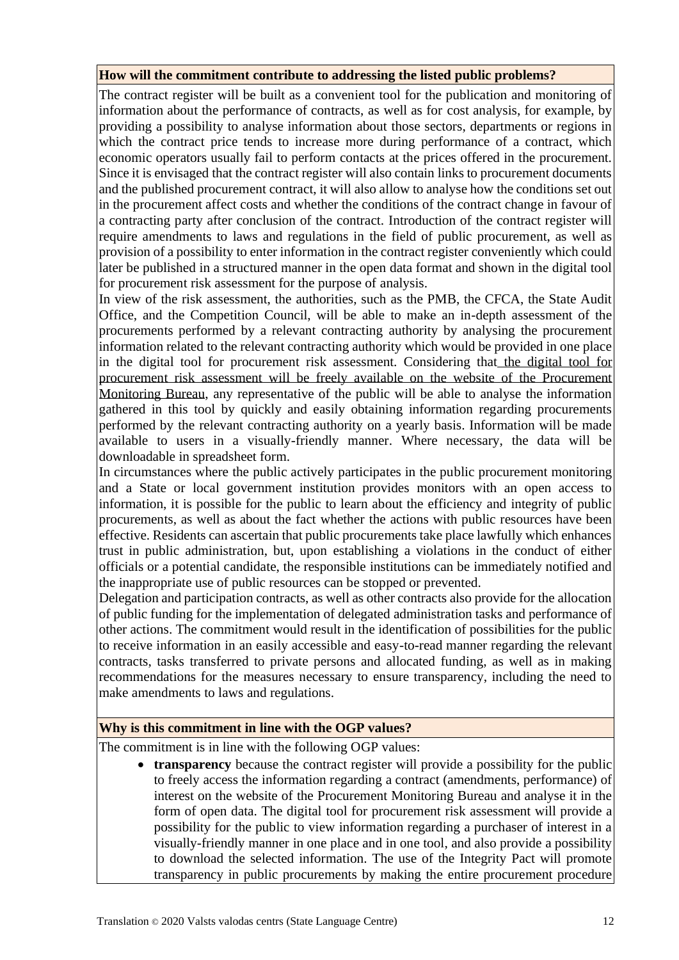## **How will the commitment contribute to addressing the listed public problems?**

The contract register will be built as a convenient tool for the publication and monitoring of information about the performance of contracts, as well as for cost analysis, for example, by providing a possibility to analyse information about those sectors, departments or regions in which the contract price tends to increase more during performance of a contract, which economic operators usually fail to perform contacts at the prices offered in the procurement. Since it is envisaged that the contract register will also contain links to procurement documents and the published procurement contract, it will also allow to analyse how the conditions set out in the procurement affect costs and whether the conditions of the contract change in favour of a contracting party after conclusion of the contract. Introduction of the contract register will require amendments to laws and regulations in the field of public procurement, as well as provision of a possibility to enter information in the contract register conveniently which could later be published in a structured manner in the open data format and shown in the digital tool for procurement risk assessment for the purpose of analysis.

In view of the risk assessment, the authorities, such as the PMB, the CFCA, the State Audit Office, and the Competition Council, will be able to make an in-depth assessment of the procurements performed by a relevant contracting authority by analysing the procurement information related to the relevant contracting authority which would be provided in one place in the digital tool for procurement risk assessment. Considering that the digital tool for procurement risk assessment will be freely available on the website of the Procurement Monitoring Bureau, any representative of the public will be able to analyse the information gathered in this tool by quickly and easily obtaining information regarding procurements performed by the relevant contracting authority on a yearly basis. Information will be made available to users in a visually-friendly manner. Where necessary, the data will be downloadable in spreadsheet form.

In circumstances where the public actively participates in the public procurement monitoring and a State or local government institution provides monitors with an open access to information, it is possible for the public to learn about the efficiency and integrity of public procurements, as well as about the fact whether the actions with public resources have been effective. Residents can ascertain that public procurements take place lawfully which enhances trust in public administration, but, upon establishing a violations in the conduct of either officials or a potential candidate, the responsible institutions can be immediately notified and the inappropriate use of public resources can be stopped or prevented.

Delegation and participation contracts, as well as other contracts also provide for the allocation of public funding for the implementation of delegated administration tasks and performance of other actions. The commitment would result in the identification of possibilities for the public to receive information in an easily accessible and easy-to-read manner regarding the relevant contracts, tasks transferred to private persons and allocated funding, as well as in making recommendations for the measures necessary to ensure transparency, including the need to make amendments to laws and regulations.

#### **Why is this commitment in line with the OGP values?**

The commitment is in line with the following OGP values:

• **transparency** because the contract register will provide a possibility for the public to freely access the information regarding a contract (amendments, performance) of interest on the website of the Procurement Monitoring Bureau and analyse it in the form of open data. The digital tool for procurement risk assessment will provide a possibility for the public to view information regarding a purchaser of interest in a visually-friendly manner in one place and in one tool, and also provide a possibility to download the selected information. The use of the Integrity Pact will promote transparency in public procurements by making the entire procurement procedure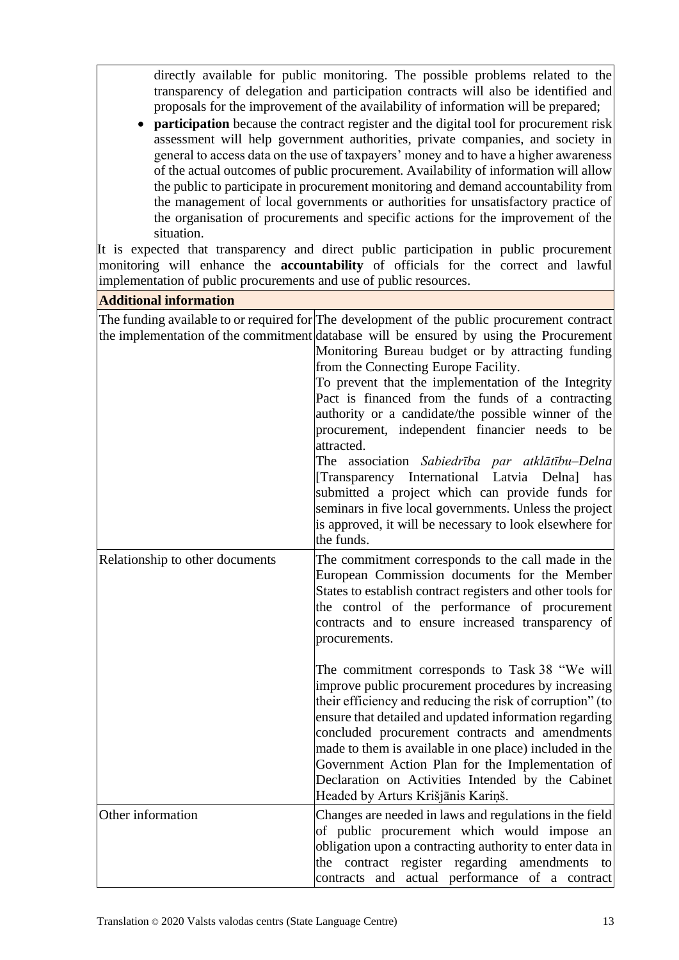directly available for public monitoring. The possible problems related to the transparency of delegation and participation contracts will also be identified and proposals for the improvement of the availability of information will be prepared;

• **participation** because the contract register and the digital tool for procurement risk assessment will help government authorities, private companies, and society in general to access data on the use of taxpayers' money and to have a higher awareness of the actual outcomes of public procurement. Availability of information will allow the public to participate in procurement monitoring and demand accountability from the management of local governments or authorities for unsatisfactory practice of the organisation of procurements and specific actions for the improvement of the situation.

It is expected that transparency and direct public participation in public procurement monitoring will enhance the **accountability** of officials for the correct and lawful implementation of public procurements and use of public resources.

**Additional information**

|                                 | The funding available to or required for The development of the public procurement contract<br>the implementation of the commitment database will be ensured by using the Procurement<br>Monitoring Bureau budget or by attracting funding<br>from the Connecting Europe Facility.<br>To prevent that the implementation of the Integrity<br>Pact is financed from the funds of a contracting<br>authority or a candidate/the possible winner of the<br>procurement, independent financier needs to be<br>attracted.<br>The association Sabiedrība par atklātību–Delna<br>[Transparency International Latvia Delna] has<br>submitted a project which can provide funds for<br>seminars in five local governments. Unless the project<br>is approved, it will be necessary to look elsewhere for<br>the funds. |
|---------------------------------|---------------------------------------------------------------------------------------------------------------------------------------------------------------------------------------------------------------------------------------------------------------------------------------------------------------------------------------------------------------------------------------------------------------------------------------------------------------------------------------------------------------------------------------------------------------------------------------------------------------------------------------------------------------------------------------------------------------------------------------------------------------------------------------------------------------|
| Relationship to other documents | The commitment corresponds to the call made in the<br>European Commission documents for the Member<br>States to establish contract registers and other tools for<br>the control of the performance of procurement<br>contracts and to ensure increased transparency of<br>procurements.<br>The commitment corresponds to Task 38 "We will<br>improve public procurement procedures by increasing                                                                                                                                                                                                                                                                                                                                                                                                              |
|                                 | their efficiency and reducing the risk of corruption" (to<br>ensure that detailed and updated information regarding<br>concluded procurement contracts and amendments<br>made to them is available in one place) included in the<br>Government Action Plan for the Implementation of<br>Declaration on Activities Intended by the Cabinet<br>Headed by Arturs Krišjānis Kariņš.                                                                                                                                                                                                                                                                                                                                                                                                                               |
| Other information               | Changes are needed in laws and regulations in the field<br>of public procurement which would impose an<br>obligation upon a contracting authority to enter data in<br>the contract register regarding amendments<br>to<br>contracts and actual performance of a contract                                                                                                                                                                                                                                                                                                                                                                                                                                                                                                                                      |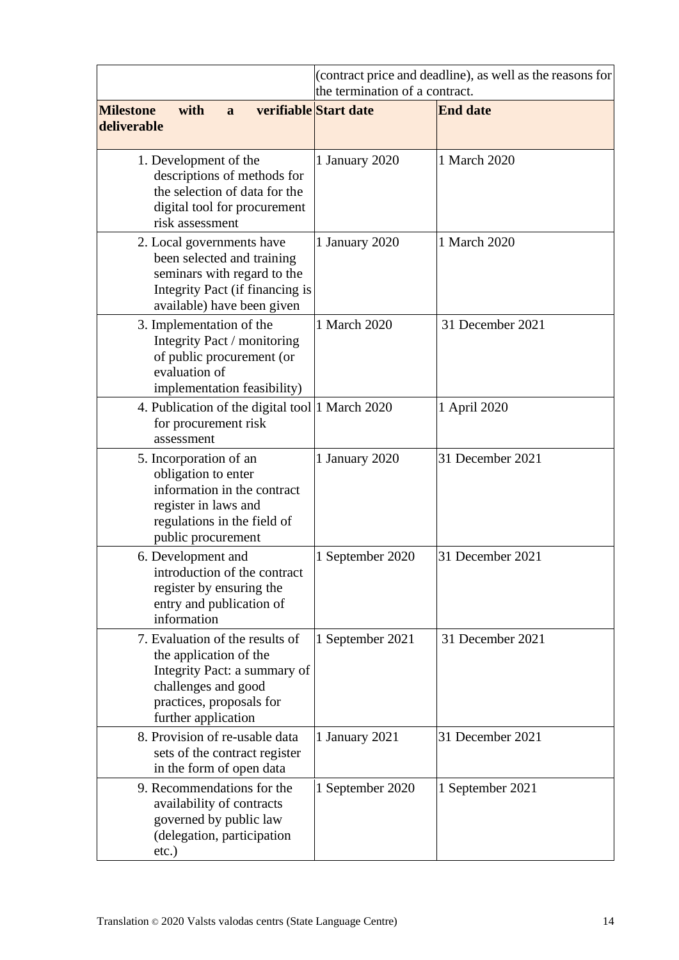|                                                                                                                                                                     | (contract price and deadline), as well as the reasons for<br>the termination of a contract. |                  |  |  |  |
|---------------------------------------------------------------------------------------------------------------------------------------------------------------------|---------------------------------------------------------------------------------------------|------------------|--|--|--|
| <b>Milestone</b><br>with<br>a<br>deliverable                                                                                                                        | verifiable Start date                                                                       | <b>End date</b>  |  |  |  |
|                                                                                                                                                                     |                                                                                             |                  |  |  |  |
| 1. Development of the<br>descriptions of methods for<br>the selection of data for the<br>digital tool for procurement<br>risk assessment                            | 1 January 2020                                                                              | 1 March 2020     |  |  |  |
| 2. Local governments have<br>been selected and training<br>seminars with regard to the<br>Integrity Pact (if financing is<br>available) have been given             | 1 January 2020                                                                              | 1 March 2020     |  |  |  |
| 3. Implementation of the<br>Integrity Pact / monitoring<br>of public procurement (or<br>evaluation of<br>implementation feasibility)                                | 1 March 2020                                                                                | 31 December 2021 |  |  |  |
| 4. Publication of the digital tool 1 March 2020<br>for procurement risk<br>assessment                                                                               |                                                                                             | 1 April 2020     |  |  |  |
| 5. Incorporation of an<br>obligation to enter<br>information in the contract<br>register in laws and<br>regulations in the field of<br>public procurement           | 1 January 2020                                                                              | 31 December 2021 |  |  |  |
| 6. Development and<br>introduction of the contract<br>register by ensuring the<br>entry and publication of<br>information                                           | 1 September 2020                                                                            | 31 December 2021 |  |  |  |
| 7. Evaluation of the results of<br>the application of the<br>Integrity Pact: a summary of<br>challenges and good<br>practices, proposals for<br>further application | 1 September 2021                                                                            | 31 December 2021 |  |  |  |
| 8. Provision of re-usable data<br>sets of the contract register<br>in the form of open data                                                                         | 1 January 2021                                                                              | 31 December 2021 |  |  |  |
| 9. Recommendations for the<br>availability of contracts<br>governed by public law<br>(delegation, participation<br>$etc.$ )                                         | 1 September 2020                                                                            | 1 September 2021 |  |  |  |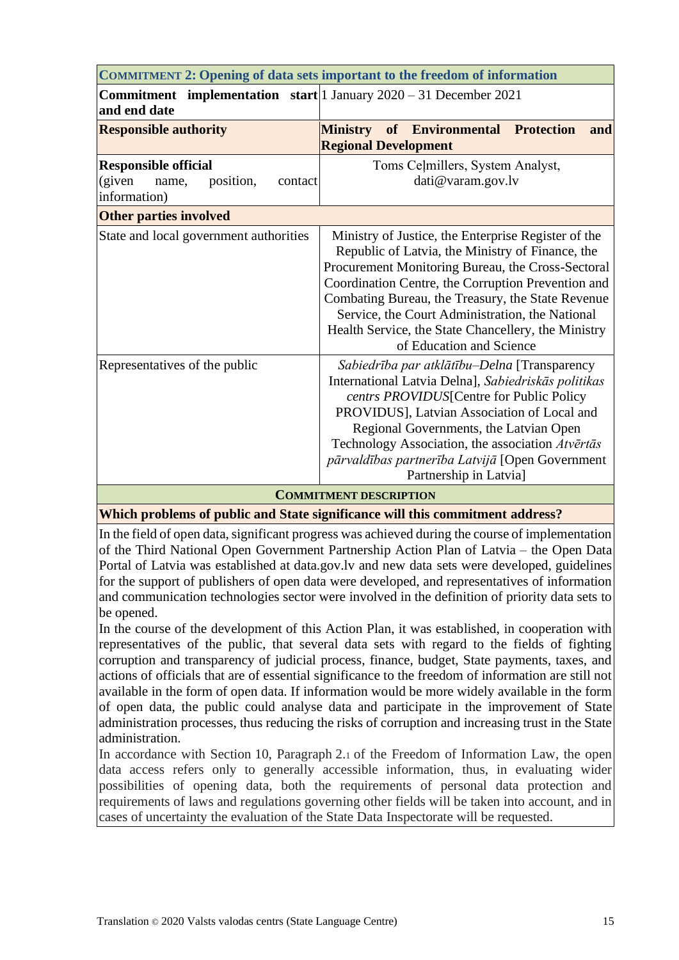<span id="page-14-0"></span>

| <b>COMMITMENT 2: Opening of data sets important to the freedom of information</b>            |                                                                                                                                                                                                                                                                                                                                                                                                               |  |  |  |  |  |
|----------------------------------------------------------------------------------------------|---------------------------------------------------------------------------------------------------------------------------------------------------------------------------------------------------------------------------------------------------------------------------------------------------------------------------------------------------------------------------------------------------------------|--|--|--|--|--|
| <b>Commitment</b> implementation start   1 January $2020 - 31$ December 2021<br>and end date |                                                                                                                                                                                                                                                                                                                                                                                                               |  |  |  |  |  |
| <b>Responsible authority</b>                                                                 | <b>Ministry of Environmental Protection</b><br>and                                                                                                                                                                                                                                                                                                                                                            |  |  |  |  |  |
|                                                                                              | <b>Regional Development</b>                                                                                                                                                                                                                                                                                                                                                                                   |  |  |  |  |  |
| <b>Responsible official</b><br>(given<br>position,<br>name,<br>contact<br>information)       | Toms Ceļmillers, System Analyst,<br>dati@varam.gov.lv                                                                                                                                                                                                                                                                                                                                                         |  |  |  |  |  |
| <b>Other parties involved</b>                                                                |                                                                                                                                                                                                                                                                                                                                                                                                               |  |  |  |  |  |
| State and local government authorities                                                       | Ministry of Justice, the Enterprise Register of the<br>Republic of Latvia, the Ministry of Finance, the<br>Procurement Monitoring Bureau, the Cross-Sectoral<br>Coordination Centre, the Corruption Prevention and<br>Combating Bureau, the Treasury, the State Revenue<br>Service, the Court Administration, the National<br>Health Service, the State Chancellery, the Ministry<br>of Education and Science |  |  |  |  |  |
| Representatives of the public                                                                | Sabiedrība par atklātību–Delna [Transparency]<br>International Latvia Delna], Sabiedriskās politikas<br>centrs PROVIDUS[Centre for Public Policy<br>PROVIDUS], Latvian Association of Local and<br>Regional Governments, the Latvian Open<br>Technology Association, the association Atvērtās<br>pārvaldības partnerība Latvijā [Open Government<br>Partnership in Latvia]                                    |  |  |  |  |  |
|                                                                                              |                                                                                                                                                                                                                                                                                                                                                                                                               |  |  |  |  |  |

**COMMITMENT DESCRIPTION**

**Which problems of public and State significance will this commitment address?**

In the field of open data, significant progress was achieved during the course of implementation of the Third National Open Government Partnership Action Plan of Latvia – the Open Data Portal of Latvia was established at data.gov.lv and new data sets were developed, guidelines for the support of publishers of open data were developed, and representatives of information and communication technologies sector were involved in the definition of priority data sets to be opened.

In the course of the development of this Action Plan, it was established, in cooperation with representatives of the public, that several data sets with regard to the fields of fighting corruption and transparency of judicial process, finance, budget, State payments, taxes, and actions of officials that are of essential significance to the freedom of information are still not available in the form of open data. If information would be more widely available in the form of open data, the public could analyse data and participate in the improvement of State administration processes, thus reducing the risks of corruption and increasing trust in the State administration.

In accordance with Section 10, Paragraph 2.1 of the Freedom of Information Law, the open data access refers only to generally accessible information, thus, in evaluating wider possibilities of opening data, both the requirements of personal data protection and requirements of laws and regulations governing other fields will be taken into account, and in cases of uncertainty the evaluation of the State Data Inspectorate will be requested.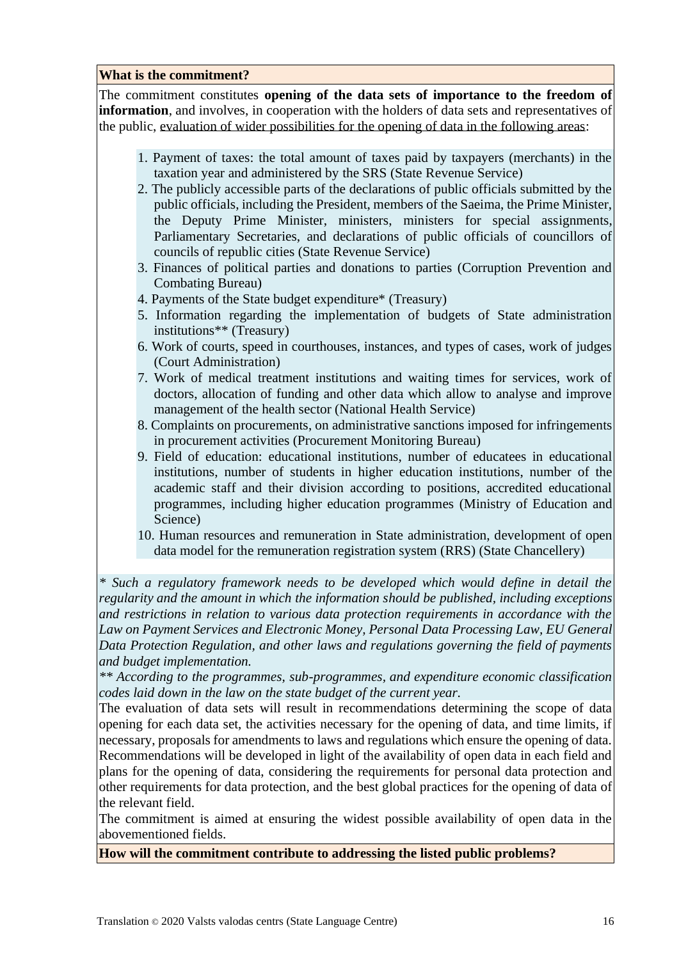#### **What is the commitment?**

The commitment constitutes **opening of the data sets of importance to the freedom of information**, and involves, in cooperation with the holders of data sets and representatives of the public, evaluation of wider possibilities for the opening of data in the following areas:

- 1. Payment of taxes: the total amount of taxes paid by taxpayers (merchants) in the taxation year and administered by the SRS (State Revenue Service)
- 2. The publicly accessible parts of the declarations of public officials submitted by the public officials, including the President, members of the Saeima, the Prime Minister, the Deputy Prime Minister, ministers, ministers for special assignments, Parliamentary Secretaries, and declarations of public officials of councillors of councils of republic cities (State Revenue Service)
- 3. Finances of political parties and donations to parties (Corruption Prevention and Combating Bureau)
- 4. Payments of the State budget expenditure\* (Treasury)
- 5. Information regarding the implementation of budgets of State administration institutions\*\* (Treasury)
- 6. Work of courts, speed in courthouses, instances, and types of cases, work of judges (Court Administration)
- 7. Work of medical treatment institutions and waiting times for services, work of doctors, allocation of funding and other data which allow to analyse and improve management of the health sector (National Health Service)
- 8. Complaints on procurements, on administrative sanctions imposed for infringements in procurement activities (Procurement Monitoring Bureau)
- 9. Field of education: educational institutions, number of educatees in educational institutions, number of students in higher education institutions, number of the academic staff and their division according to positions, accredited educational programmes, including higher education programmes (Ministry of Education and Science)
- 10. Human resources and remuneration in State administration, development of open data model for the remuneration registration system (RRS) (State Chancellery)

*\* Such a regulatory framework needs to be developed which would define in detail the regularity and the amount in which the information should be published, including exceptions and restrictions in relation to various data protection requirements in accordance with the Law on Payment Services and Electronic Money, Personal Data Processing Law, EU General Data Protection Regulation, and other laws and regulations governing the field of payments and budget implementation.*

*\*\* According to the programmes, sub-programmes, and expenditure economic classification codes laid down in the law on the state budget of the current year.*

The evaluation of data sets will result in recommendations determining the scope of data opening for each data set, the activities necessary for the opening of data, and time limits, if necessary, proposals for amendments to laws and regulations which ensure the opening of data. Recommendations will be developed in light of the availability of open data in each field and plans for the opening of data, considering the requirements for personal data protection and other requirements for data protection, and the best global practices for the opening of data of the relevant field.

The commitment is aimed at ensuring the widest possible availability of open data in the abovementioned fields.

**How will the commitment contribute to addressing the listed public problems?**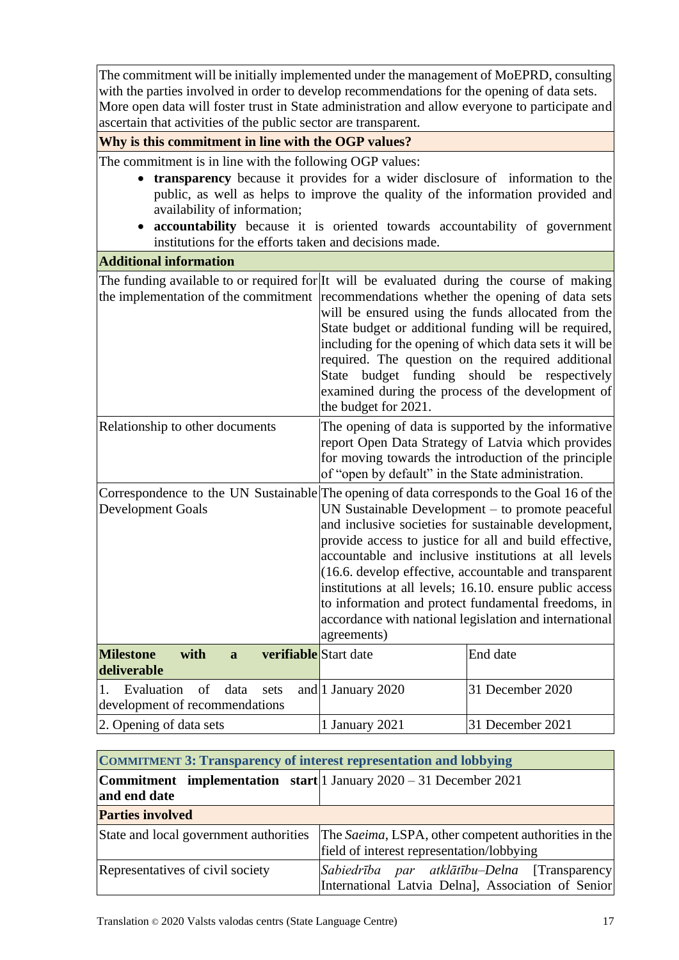The commitment will be initially implemented under the management of MoEPRD, consulting with the parties involved in order to develop recommendations for the opening of data sets. More open data will foster trust in State administration and allow everyone to participate and ascertain that activities of the public sector are transparent.

#### **Why is this commitment in line with the OGP values?**

The commitment is in line with the following OGP values:

- **transparency** because it provides for a wider disclosure of information to the public, as well as helps to improve the quality of the information provided and availability of information;
- **accountability** because it is oriented towards accountability of government institutions for the efforts taken and decisions made.

# **Additional information** The funding available to or required for It will be evaluated during the course of making the implementation of the commitment recommendations whether the opening of data sets will be ensured using the funds allocated from the State budget or additional funding will be required, including for the opening of which data sets it will be required. The question on the required additional State budget funding should be respectively examined during the process of the development of the budget for 2021. Relationship to other documents The opening of data is supported by the informative report Open Data Strategy of Latvia which provides for moving towards the introduction of the principle of "open by default" in the State administration. Correspondence to the UN Sustainable The opening of data corresponds to the Goal 16 of the Development Goals UN Sustainable Development – to promote peaceful and inclusive societies for sustainable development, provide access to justice for all and build effective, accountable and inclusive institutions at all levels (16.6. develop effective, accountable and transparent institutions at all levels; 16.10. ensure public access to information and protect fundamental freedoms, in

|                                                                                         | accordance with national legislation and international<br>agreements) |                  |  |  |
|-----------------------------------------------------------------------------------------|-----------------------------------------------------------------------|------------------|--|--|
| <b>verifiable</b> Start date<br><b>Milestone</b><br>with<br>$\mathbf{a}$<br>deliverable |                                                                       | End date         |  |  |
| Evaluation of data sets and 1 January 2020<br>development of recommendations            |                                                                       | 31 December 2020 |  |  |
| 2. Opening of data sets                                                                 | 1 January 2021                                                        | 31 December 2021 |  |  |

<span id="page-16-0"></span>

| <b>COMMITMENT 3: Transparency of interest representation and lobbying</b>                  |                                                                                                     |  |  |  |  |  |
|--------------------------------------------------------------------------------------------|-----------------------------------------------------------------------------------------------------|--|--|--|--|--|
| <b>Commitment</b> implementation start 1 January $2020 - 31$ December 2021<br>and end date |                                                                                                     |  |  |  |  |  |
| <b>Parties involved</b>                                                                    |                                                                                                     |  |  |  |  |  |
| State and local government authorities                                                     | The Saeima, LSPA, other competent authorities in the<br>field of interest representation/lobbying   |  |  |  |  |  |
| Representatives of civil society                                                           | Sabiedrība par atklātību–Delna [Transparency]<br>International Latvia Delna], Association of Senior |  |  |  |  |  |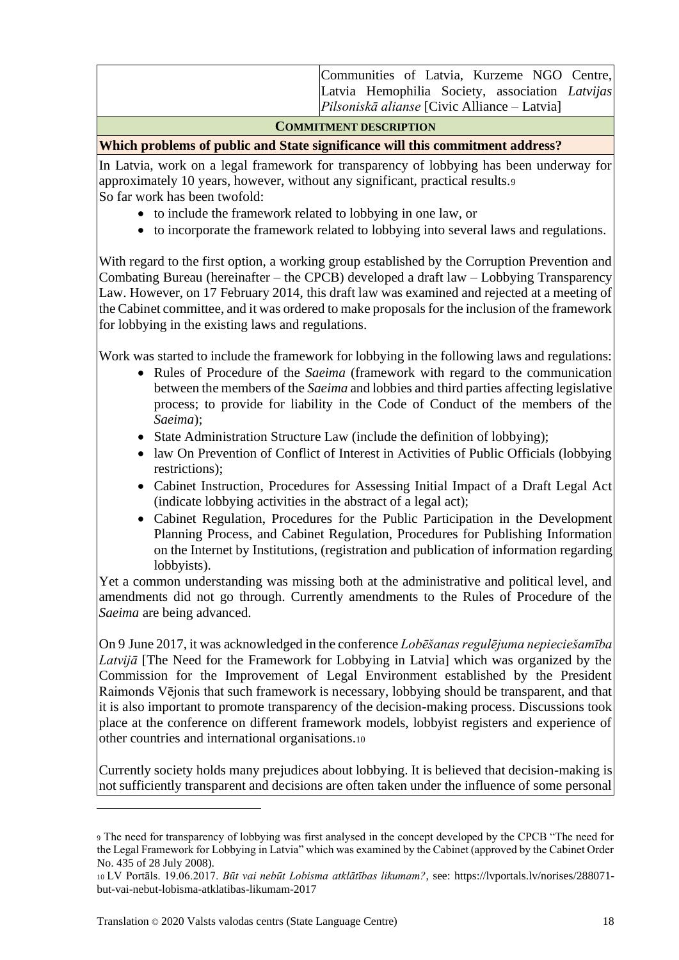|  |  |                                                     |  | Communities of Latvia, Kurzeme NGO Centre,      |
|--|--|-----------------------------------------------------|--|-------------------------------------------------|
|  |  |                                                     |  | Latvia Hemophilia Society, association Latvijas |
|  |  | <i>Pilsoniskā alianse</i> [Civic Alliance – Latvia] |  |                                                 |
|  |  |                                                     |  |                                                 |

#### **COMMITMENT DESCRIPTION**

#### **Which problems of public and State significance will this commitment address?**

In Latvia, work on a legal framework for transparency of lobbying has been underway for approximately 10 years, however, without any significant, practical results.<sup>9</sup> So far work has been twofold:

- to include the framework related to lobbying in one law, or
- to incorporate the framework related to lobbying into several laws and regulations.

With regard to the first option, a working group established by the Corruption Prevention and Combating Bureau (hereinafter – the CPCB) developed a draft law – Lobbying Transparency Law. However, on 17 February 2014, this draft law was examined and rejected at a meeting of the Cabinet committee, and it was ordered to make proposals for the inclusion of the framework for lobbying in the existing laws and regulations.

Work was started to include the framework for lobbying in the following laws and regulations:

- Rules of Procedure of the *Saeima* (framework with regard to the communication between the members of the *Saeima* and lobbies and third parties affecting legislative process; to provide for liability in the Code of Conduct of the members of the *Saeima*);
- State Administration Structure Law (include the definition of lobbying);
- law On Prevention of Conflict of Interest in Activities of Public Officials (lobbying restrictions);
- Cabinet Instruction, Procedures for Assessing Initial Impact of a Draft Legal Act (indicate lobbying activities in the abstract of a legal act);
- Cabinet Regulation, Procedures for the Public Participation in the Development Planning Process, and Cabinet Regulation, Procedures for Publishing Information on the Internet by Institutions, (registration and publication of information regarding lobbyists).

Yet a common understanding was missing both at the administrative and political level, and amendments did not go through. Currently amendments to the Rules of Procedure of the *Saeima* are being advanced.

On 9 June 2017, it was acknowledged in the conference *Lobēšanas regulējuma nepieciešamība Latvijā* [The Need for the Framework for Lobbying in Latvia] which was organized by the Commission for the Improvement of Legal Environment established by the President Raimonds Vējonis that such framework is necessary, lobbying should be transparent, and that it is also important to promote transparency of the decision-making process. Discussions took place at the conference on different framework models, lobbyist registers and experience of other countries and international organisations.<sup>10</sup>

Currently society holds many prejudices about lobbying. It is believed that decision-making is not sufficiently transparent and decisions are often taken under the influence of some personal

<sup>9</sup> The need for transparency of lobbying was first analysed in the concept developed by the CPCB "The need for the Legal Framework for Lobbying in Latvia" which was examined by the Cabinet (approved by the Cabinet Order No. 435 of 28 July 2008).

<sup>10</sup> LV Portāls. 19.06.2017. *Būt vai nebūt Lobisma atklātības likumam?*, see: https://lvportals.lv/norises/288071 but-vai-nebut-lobisma-atklatibas-likumam-2017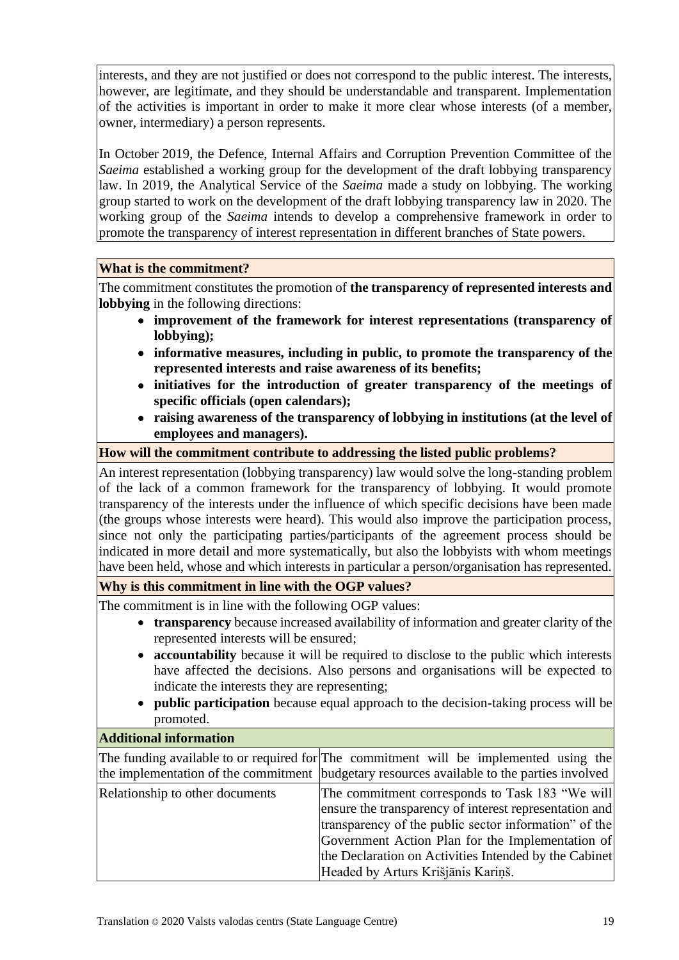interests, and they are not justified or does not correspond to the public interest. The interests, however, are legitimate, and they should be understandable and transparent. Implementation of the activities is important in order to make it more clear whose interests (of a member, owner, intermediary) a person represents.

In October 2019, the Defence, Internal Affairs and Corruption Prevention Committee of the *Saeima* established a working group for the development of the draft lobbying transparency law. In 2019, the Analytical Service of the *Saeima* made a study on lobbying. The working group started to work on the development of the draft lobbying transparency law in 2020. The working group of the *Saeima* intends to develop a comprehensive framework in order to promote the transparency of interest representation in different branches of State powers.

#### **What is the commitment?**

The commitment constitutes the promotion of **the transparency of represented interests and lobbying** in the following directions:

- **improvement of the framework for interest representations (transparency of lobbying);**
- **informative measures, including in public, to promote the transparency of the represented interests and raise awareness of its benefits;**
- **initiatives for the introduction of greater transparency of the meetings of specific officials (open calendars);**
- **raising awareness of the transparency of lobbying in institutions (at the level of employees and managers).**

## **How will the commitment contribute to addressing the listed public problems?**

An interest representation (lobbying transparency) law would solve the long-standing problem of the lack of a common framework for the transparency of lobbying. It would promote transparency of the interests under the influence of which specific decisions have been made (the groups whose interests were heard). This would also improve the participation process, since not only the participating parties/participants of the agreement process should be indicated in more detail and more systematically, but also the lobbyists with whom meetings have been held, whose and which interests in particular a person/organisation has represented.

## **Why is this commitment in line with the OGP values?**

The commitment is in line with the following OGP values:

- **transparency** because increased availability of information and greater clarity of the represented interests will be ensured;
- **accountability** because it will be required to disclose to the public which interests have affected the decisions. Also persons and organisations will be expected to indicate the interests they are representing;
- **public participation** because equal approach to the decision-taking process will be promoted.

Headed by Arturs Krišjānis Kariņš.

#### **Additional information**

The funding available to or required for The commitment will be implemented using the the implementation of the commitment budgetary resources available to the parties involved Relationship to other documents The commitment corresponds to Task 183 "We will ensure the transparency of interest representation and transparency of the public sector information" of the Government Action Plan for the Implementation of the Declaration on Activities Intended by the Cabinet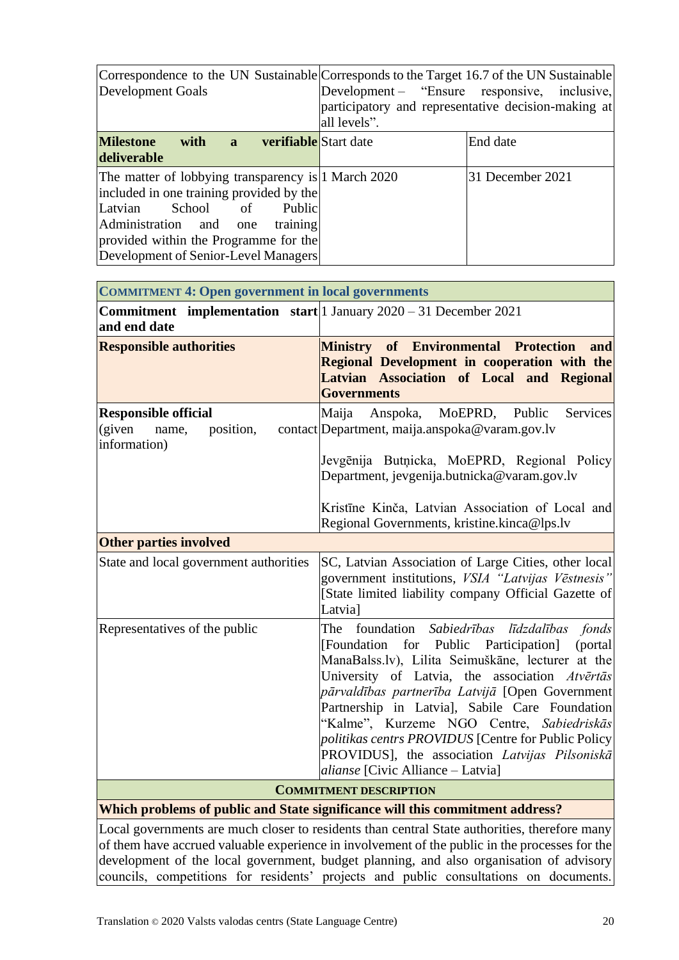| Development Goals                                                                                                                                                                                                                                           | Correspondence to the UN Sustainable Corresponds to the Target 16.7 of the UN Sustainable<br>Development – "Ensure responsive, inclusive,<br>participatory and representative decision-making at<br>all levels". |                  |
|-------------------------------------------------------------------------------------------------------------------------------------------------------------------------------------------------------------------------------------------------------------|------------------------------------------------------------------------------------------------------------------------------------------------------------------------------------------------------------------|------------------|
| <b>Milestone</b><br><b>verifiable</b> Start date<br>with a<br>deliverable                                                                                                                                                                                   |                                                                                                                                                                                                                  | End date         |
| The matter of lobbying transparency is 1 March 2020<br>included in one training provided by the<br>Latvian<br>School<br>of<br>Public<br>Administration and one<br>training<br>provided within the Programme for the<br>Development of Senior-Level Managers |                                                                                                                                                                                                                  | 31 December 2021 |

<span id="page-19-0"></span>

| <b>COMMITMENT 4: Open government in local governments</b>                                    |                                                                                                                                                                                                                                                                                                                                                                                                                                                                                                                  |  |
|----------------------------------------------------------------------------------------------|------------------------------------------------------------------------------------------------------------------------------------------------------------------------------------------------------------------------------------------------------------------------------------------------------------------------------------------------------------------------------------------------------------------------------------------------------------------------------------------------------------------|--|
| <b>Commitment</b> implementation start 1 January $2020 - 31$ December $2021$<br>and end date |                                                                                                                                                                                                                                                                                                                                                                                                                                                                                                                  |  |
| <b>Responsible authorities</b>                                                               | Ministry of Environmental Protection<br>and<br>Regional Development in cooperation with the<br>Latvian Association of Local and Regional<br><b>Governments</b>                                                                                                                                                                                                                                                                                                                                                   |  |
| <b>Responsible official</b><br>(given<br>position,<br>name,<br>information)                  | Maija<br>Anspoka, MoEPRD, Public<br>Services<br>contact Department, maija.anspoka@varam.gov.lv<br>Jevgēnija Butņicka, MoEPRD, Regional Policy<br>Department, jevgenija.butnicka@varam.gov.lv<br>Kristīne Kinča, Latvian Association of Local and<br>Regional Governments, kristine.kinca@lps.lv                                                                                                                                                                                                                  |  |
| <b>Other parties involved</b>                                                                |                                                                                                                                                                                                                                                                                                                                                                                                                                                                                                                  |  |
| State and local government authorities                                                       | SC, Latvian Association of Large Cities, other local<br>government institutions, VSIA "Latvijas Vēstnesis"<br>[State limited liability company Official Gazette of<br>Latvia]                                                                                                                                                                                                                                                                                                                                    |  |
| Representatives of the public                                                                | The foundation Sabiedrības līdzdalības fonds<br>[Foundation for Public Participation]<br>(portal)<br>ManaBalss.lv), Lilita Seimuškāne, lecturer at the<br>University of Latvia, the association Atvertas<br>pārvaldības partnerība Latvijā [Open Government]<br>Partnership in Latvial, Sabile Care Foundation<br>"Kalme", Kurzeme NGO Centre, Sabiedriskās<br>politikas centrs PROVIDUS [Centre for Public Policy<br>PROVIDUS], the association Latvijas Pilsoniskā<br><i>alianse</i> [Civic Alliance - Latvia] |  |
|                                                                                              | <b>COMMITMENT DESCRIPTION</b>                                                                                                                                                                                                                                                                                                                                                                                                                                                                                    |  |

**Which problems of public and State significance will this commitment address?**

Local governments are much closer to residents than central State authorities, therefore many of them have accrued valuable experience in involvement of the public in the processes for the development of the local government, budget planning, and also organisation of advisory councils, competitions for residents' projects and public consultations on documents.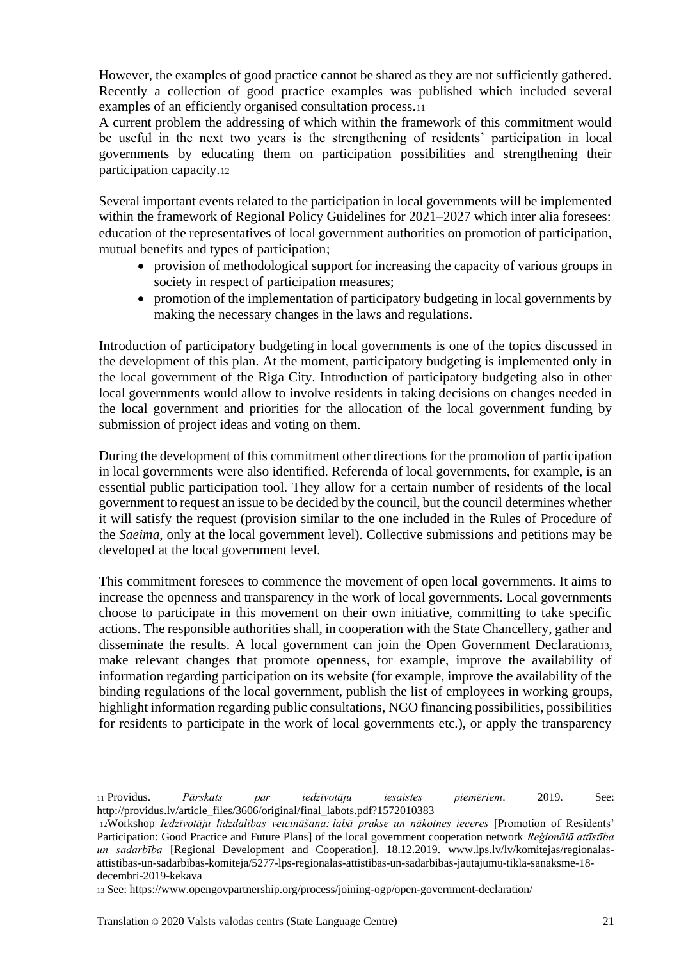However, the examples of good practice cannot be shared as they are not sufficiently gathered. Recently a collection of good practice examples was published which included several examples of an efficiently organised consultation process.<sup>11</sup>

A current problem the addressing of which within the framework of this commitment would be useful in the next two years is the strengthening of residents' participation in local governments by educating them on participation possibilities and strengthening their participation capacity.<sup>12</sup>

Several important events related to the participation in local governments will be implemented within the framework of Regional Policy Guidelines for 2021–2027 which inter alia foresees: • education of the representatives of local government authorities on promotion of participation, mutual benefits and types of participation;

- provision of methodological support for increasing the capacity of various groups in society in respect of participation measures;
- promotion of the implementation of participatory budgeting in local governments by making the necessary changes in the laws and regulations.

Introduction of participatory budgeting in local governments is one of the topics discussed in the development of this plan. At the moment, participatory budgeting is implemented only in the local government of the Riga City. Introduction of participatory budgeting also in other local governments would allow to involve residents in taking decisions on changes needed in the local government and priorities for the allocation of the local government funding by submission of project ideas and voting on them.

During the development of this commitment other directions for the promotion of participation in local governments were also identified. Referenda of local governments, for example, is an essential public participation tool. They allow for a certain number of residents of the local government to request an issue to be decided by the council, but the council determines whether it will satisfy the request (provision similar to the one included in the Rules of Procedure of the *Saeima*, only at the local government level). Collective submissions and petitions may be developed at the local government level.

This commitment foresees to commence the movement of open local governments. It aims to increase the openness and transparency in the work of local governments. Local governments choose to participate in this movement on their own initiative, committing to take specific actions. The responsible authorities shall, in cooperation with the State Chancellery, gather and disseminate the results. A local government can join the Open Government Declaration13, make relevant changes that promote openness, for example, improve the availability of information regarding participation on its website (for example, improve the availability of the binding regulations of the local government, publish the list of employees in working groups, highlight information regarding public consultations, NGO financing possibilities, possibilities for residents to participate in the work of local governments etc.), or apply the transparency

<sup>11</sup> Providus. *Pārskats par iedzīvotāju iesaistes piemēriem*. 2019. See: http://providus.lv/article\_files/3606/original/final\_labots.pdf?1572010383

<sup>12</sup>Workshop *Iedzīvotāju līdzdalības veicināšana: labā prakse un nākotnes ieceres* [Promotion of Residents' Participation: Good Practice and Future Plans] of the local government cooperation network *Reģionālā attīstība un sadarbība* [Regional Development and Cooperation]. 18.12.2019. www.lps.lv/lv/komitejas/regionalasattistibas-un-sadarbibas-komiteja/5277-lps-regionalas-attistibas-un-sadarbibas-jautajumu-tikla-sanaksme-18 decembri-2019-kekava

<sup>13</sup> See: https://www.opengovpartnership.org/process/joining-ogp/open-government-declaration/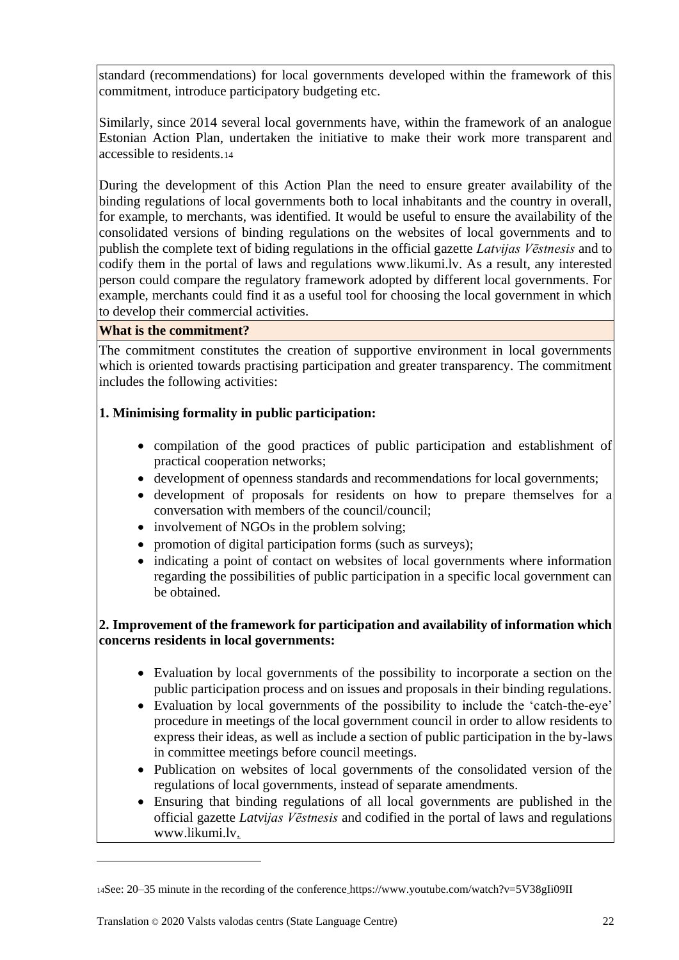standard (recommendations) for local governments developed within the framework of this commitment, introduce participatory budgeting etc.

Similarly, since 2014 several local governments have, within the framework of an analogue Estonian Action Plan, undertaken the initiative to make their work more transparent and accessible to residents.<sup>14</sup>

During the development of this Action Plan the need to ensure greater availability of the binding regulations of local governments both to local inhabitants and the country in overall, for example, to merchants, was identified. It would be useful to ensure the availability of the consolidated versions of binding regulations on the websites of local governments and to publish the complete text of biding regulations in the official gazette *Latvijas Vēstnesis* and to codify them in the portal of laws and regulations www.likumi.lv. As a result, any interested person could compare the regulatory framework adopted by different local governments. For example, merchants could find it as a useful tool for choosing the local government in which to develop their commercial activities.

## **What is the commitment?**

The commitment constitutes the creation of supportive environment in local governments which is oriented towards practising participation and greater transparency. The commitment includes the following activities:

# **1. Minimising formality in public participation:**

- compilation of the good practices of public participation and establishment of practical cooperation networks;
- development of openness standards and recommendations for local governments;
- development of proposals for residents on how to prepare themselves for a conversation with members of the council/council;
- involvement of NGOs in the problem solving:
- promotion of digital participation forms (such as surveys);
- indicating a point of contact on websites of local governments where information regarding the possibilities of public participation in a specific local government can be obtained.

# **2. Improvement of the framework for participation and availability of information which concerns residents in local governments:**

- Evaluation by local governments of the possibility to incorporate a section on the public participation process and on issues and proposals in their binding regulations.
- Evaluation by local governments of the possibility to include the 'catch-the-eye' procedure in meetings of the local government council in order to allow residents to express their ideas, as well as include a section of public participation in the by-laws in committee meetings before council meetings.
- Publication on websites of local governments of the consolidated version of the regulations of local governments, instead of separate amendments.
- Ensuring that binding regulations of all local governments are published in the official gazette *Latvijas Vēstnesis* and codified in the portal of laws and regulations www.likumi.lv.

<sup>14</sup>See: 20–35 minute in the recording of the conference https://www.youtube.com/watch?v=5V38gIi09II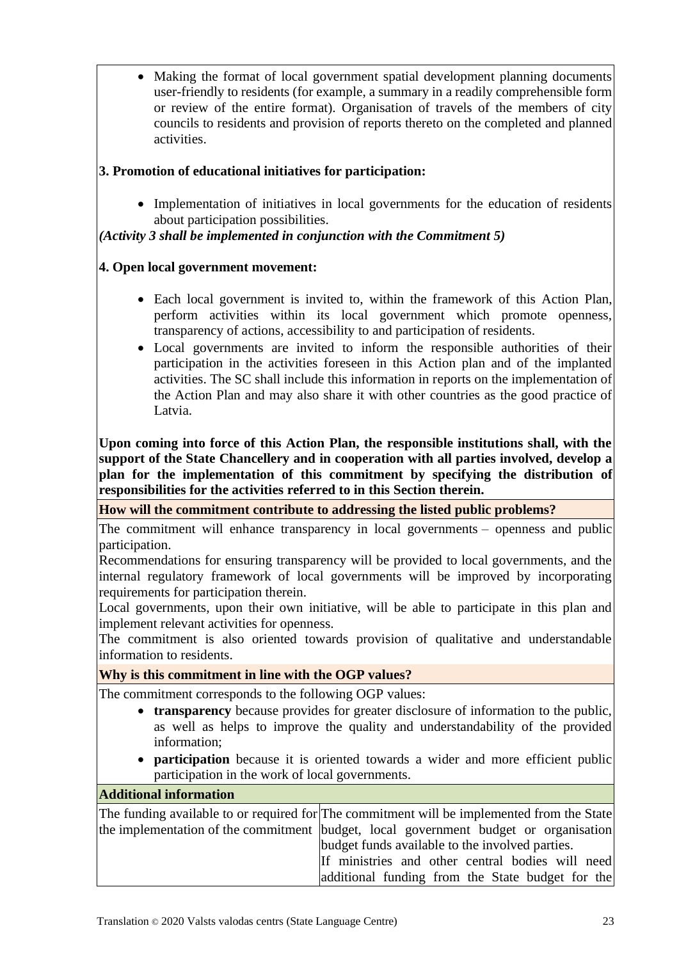• Making the format of local government spatial development planning documents user-friendly to residents (for example, a summary in a readily comprehensible form or review of the entire format). Organisation of travels of the members of city councils to residents and provision of reports thereto on the completed and planned activities.

# **3. Promotion of educational initiatives for participation:**

• Implementation of initiatives in local governments for the education of residents about participation possibilities.

*(Activity 3 shall be implemented in conjunction with the Commitment 5)*

## **4. Open local government movement:**

- Each local government is invited to, within the framework of this Action Plan, perform activities within its local government which promote openness, transparency of actions, accessibility to and participation of residents.
- Local governments are invited to inform the responsible authorities of their participation in the activities foreseen in this Action plan and of the implanted activities. The SC shall include this information in reports on the implementation of the Action Plan and may also share it with other countries as the good practice of Latvia.

**Upon coming into force of this Action Plan, the responsible institutions shall, with the support of the State Chancellery and in cooperation with all parties involved, develop a plan for the implementation of this commitment by specifying the distribution of responsibilities for the activities referred to in this Section therein.** 

**How will the commitment contribute to addressing the listed public problems?**

The commitment will enhance transparency in local governments – openness and public participation.

Recommendations for ensuring transparency will be provided to local governments, and the internal regulatory framework of local governments will be improved by incorporating requirements for participation therein.

Local governments, upon their own initiative, will be able to participate in this plan and implement relevant activities for openness.

The commitment is also oriented towards provision of qualitative and understandable information to residents.

## **Why is this commitment in line with the OGP values?**

The commitment corresponds to the following OGP values:

- **transparency** because provides for greater disclosure of information to the public, as well as helps to improve the quality and understandability of the provided information;
- **participation** because it is oriented towards a wider and more efficient public participation in the work of local governments.

#### **Additional information**

| The funding available to or required for The commitment will be implemented from the State |  |  |
|--------------------------------------------------------------------------------------------|--|--|
| the implementation of the commitment budget, local government budget or organisation       |  |  |
| budget funds available to the involved parties.                                            |  |  |
| If ministries and other central bodies will need                                           |  |  |
| additional funding from the State budget for the                                           |  |  |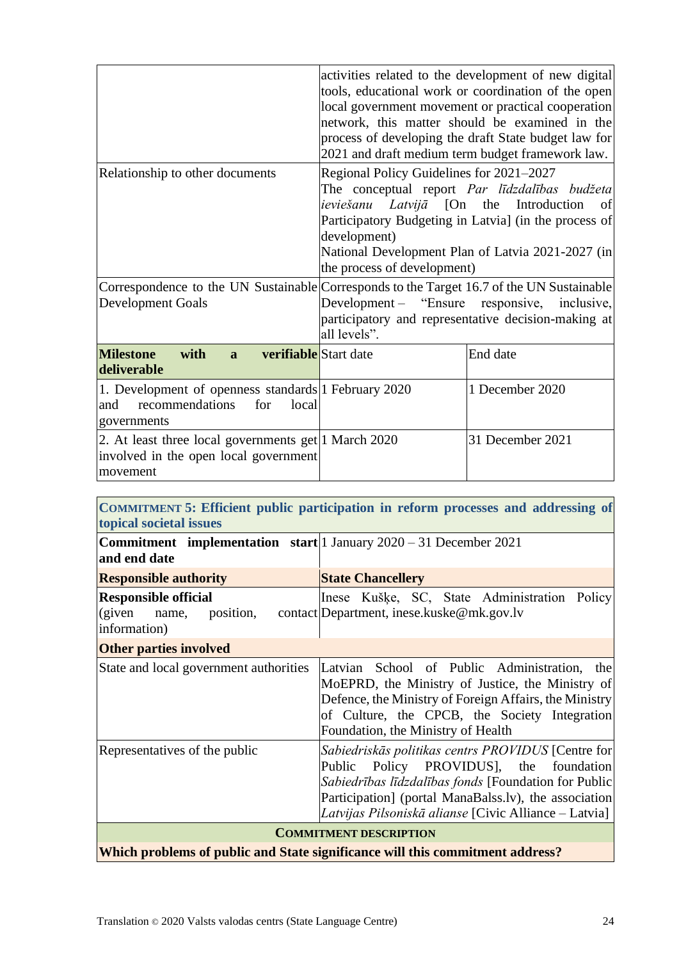|                                                                                                               | activities related to the development of new digital<br>tools, educational work or coordination of the open<br>local government movement or practical cooperation<br>network, this matter should be examined in the<br>process of developing the draft State budget law for<br>2021 and draft medium term budget framework law. |                  |
|---------------------------------------------------------------------------------------------------------------|---------------------------------------------------------------------------------------------------------------------------------------------------------------------------------------------------------------------------------------------------------------------------------------------------------------------------------|------------------|
| Relationship to other documents                                                                               | Regional Policy Guidelines for 2021-2027<br>The conceptual report Par līdzdalības budžeta<br><i>ieviešanu Latvijā</i> [On the<br>Introduction<br>of<br>Participatory Budgeting in Latvia] (in the process of<br>development)<br>National Development Plan of Latvia 2021-2027 (in<br>the process of development)                |                  |
| Development Goals                                                                                             | Correspondence to the UN Sustainable Corresponds to the Target 16.7 of the UN Sustainable<br>Development - "Ensure responsive, inclusive,<br>participatory and representative decision-making at<br>all levels".                                                                                                                |                  |
| <b>Milestone</b><br><b>verifiable</b> Start date<br>with<br>$\mathbf{a}$<br>deliverable                       |                                                                                                                                                                                                                                                                                                                                 | End date         |
| 1. Development of openness standards 1 February 2020<br>recommendations<br>for<br>local<br>and<br>governments |                                                                                                                                                                                                                                                                                                                                 | 1 December 2020  |
| 2. At least three local governments get 1 March 2020<br>involved in the open local government<br>movement     |                                                                                                                                                                                                                                                                                                                                 | 31 December 2021 |

#### <span id="page-23-0"></span>**COMMITMENT 5: Efficient public participation in reform processes and addressing of topical societal issues**

| <b>Commitment implementation start</b>   1 January $2020 - 31$ December 2021<br>and end date |                                                                                                                                                                                                                                                                         |  |
|----------------------------------------------------------------------------------------------|-------------------------------------------------------------------------------------------------------------------------------------------------------------------------------------------------------------------------------------------------------------------------|--|
| <b>Responsible authority</b>                                                                 | <b>State Chancellery</b>                                                                                                                                                                                                                                                |  |
| <b>Responsible official</b><br>(given name, position,<br>information)                        | Inese Kušķe, SC, State Administration Policy<br>contact Department, inese kuske@mk.gov.lv                                                                                                                                                                               |  |
| <b>Other parties involved</b>                                                                |                                                                                                                                                                                                                                                                         |  |
| State and local government authorities                                                       | Latvian School of Public Administration, the<br>MoEPRD, the Ministry of Justice, the Ministry of<br>Defence, the Ministry of Foreign Affairs, the Ministry<br>of Culture, the CPCB, the Society Integration<br>Foundation, the Ministry of Health                       |  |
| Representatives of the public                                                                | Sabiedriskās politikas centrs PROVIDUS [Centre for<br>Public Policy PROVIDUS, the foundation<br>Sabiedrības līdzdalības fonds [Foundation for Public]<br>Participation] (portal ManaBalss.lv), the association<br>Latvijas Pilsoniskā alianse [Civic Alliance – Latvia] |  |
| <b>COMMITMENT DESCRIPTION</b>                                                                |                                                                                                                                                                                                                                                                         |  |
| Which problems of public and State significance will this commitment address?                |                                                                                                                                                                                                                                                                         |  |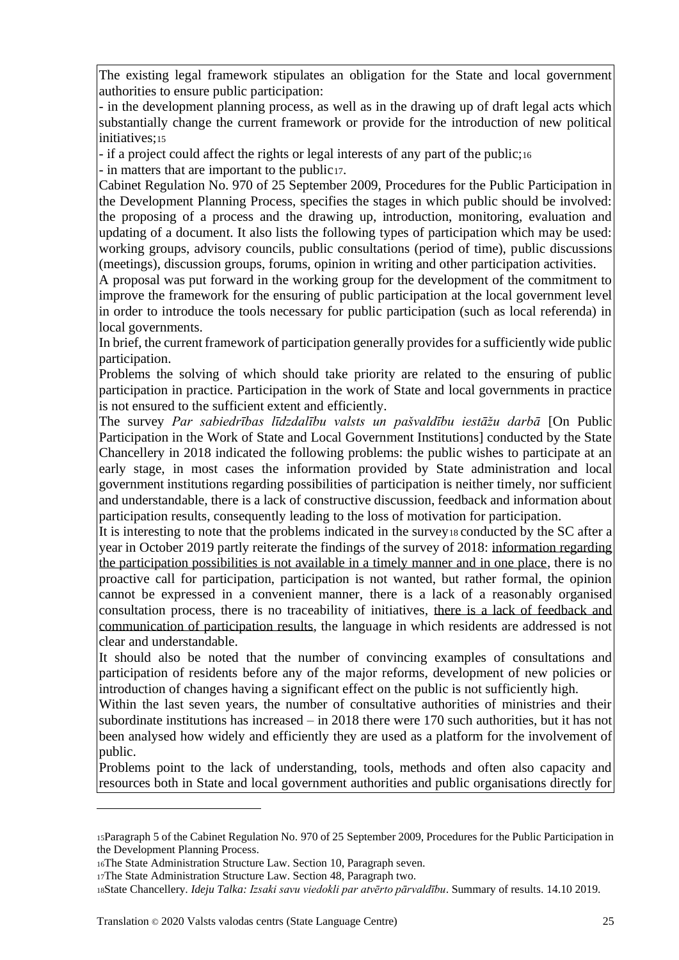The existing legal framework stipulates an obligation for the State and local government authorities to ensure public participation:

- in the development planning process, as well as in the drawing up of draft legal acts which substantially change the current framework or provide for the introduction of new political initiatives;<sup>15</sup>

- if a project could affect the rights or legal interests of any part of the public;<sup>16</sup>

- in matters that are important to the public17.

Cabinet Regulation No. 970 of 25 September 2009, Procedures for the Public Participation in the Development Planning Process, specifies the stages in which public should be involved: the proposing of a process and the drawing up, introduction, monitoring, evaluation and updating of a document. It also lists the following types of participation which may be used: working groups, advisory councils, public consultations (period of time), public discussions (meetings), discussion groups, forums, opinion in writing and other participation activities.

A proposal was put forward in the working group for the development of the commitment to improve the framework for the ensuring of public participation at the local government level in order to introduce the tools necessary for public participation (such as local referenda) in local governments.

In brief, the current framework of participation generally provides for a sufficiently wide public participation.

Problems the solving of which should take priority are related to the ensuring of public participation in practice. Participation in the work of State and local governments in practice is not ensured to the sufficient extent and efficiently.

The survey *Par sabiedrības līdzdalību valsts un pašvaldību iestāžu darbā* [On Public Participation in the Work of State and Local Government Institutions] conducted by the State Chancellery in 2018 indicated the following problems: the public wishes to participate at an early stage, in most cases the information provided by State administration and local government institutions regarding possibilities of participation is neither timely, nor sufficient and understandable, there is a lack of constructive discussion, feedback and information about participation results, consequently leading to the loss of motivation for participation.

It is interesting to note that the problems indicated in the survey is conducted by the SC after a year in October 2019 partly reiterate the findings of the survey of 2018: information regarding the participation possibilities is not available in a timely manner and in one place, there is no proactive call for participation, participation is not wanted, but rather formal, the opinion cannot be expressed in a convenient manner, there is a lack of a reasonably organised consultation process, there is no traceability of initiatives, there is a lack of feedback and communication of participation results, the language in which residents are addressed is not clear and understandable.

It should also be noted that the number of convincing examples of consultations and participation of residents before any of the major reforms, development of new policies or introduction of changes having a significant effect on the public is not sufficiently high.

Within the last seven years, the number of consultative authorities of ministries and their subordinate institutions has increased – in 2018 there were 170 such authorities, but it has not been analysed how widely and efficiently they are used as a platform for the involvement of public.

Problems point to the lack of understanding, tools, methods and often also capacity and resources both in State and local government authorities and public organisations directly for

<sup>15</sup>Paragraph 5 of the Cabinet Regulation No. 970 of 25 September 2009, Procedures for the Public Participation in the Development Planning Process.

<sup>16</sup>The State Administration Structure Law. Section 10, Paragraph seven.

<sup>17</sup>The State Administration Structure Law. Section 48, Paragraph two.

<sup>18</sup>State Chancellery. *Ideju Talka: Izsaki savu viedokli par atvērto pārvaldību*. Summary of results. 14.10 2019.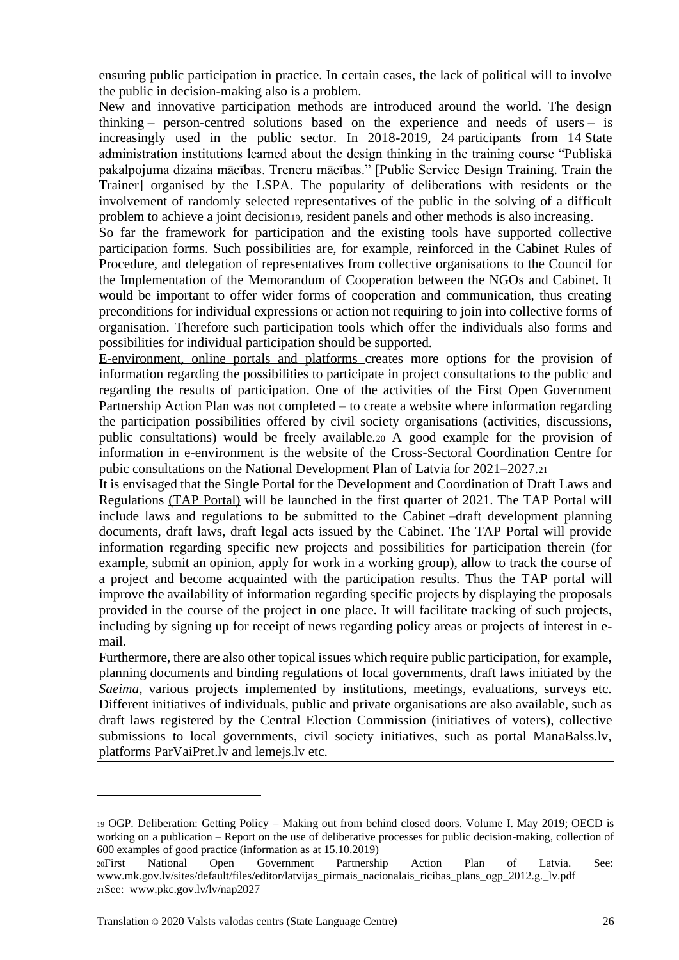ensuring public participation in practice. In certain cases, the lack of political will to involve the public in decision-making also is a problem.

New and innovative participation methods are introduced around the world. The design thinking – person-centred solutions based on the experience and needs of users – is increasingly used in the public sector. In 2018-2019, 24 participants from 14 State administration institutions learned about the design thinking in the training course "Publiskā pakalpojuma dizaina mācības. Treneru mācības." [Public Service Design Training. Train the Trainer] organised by the LSPA. The popularity of deliberations with residents or the involvement of randomly selected representatives of the public in the solving of a difficult problem to achieve a joint decision19, resident panels and other methods is also increasing.

So far the framework for participation and the existing tools have supported collective participation forms. Such possibilities are, for example, reinforced in the Cabinet Rules of Procedure, and delegation of representatives from collective organisations to the Council for the Implementation of the Memorandum of Cooperation between the NGOs and Cabinet. It would be important to offer wider forms of cooperation and communication, thus creating preconditions for individual expressions or action not requiring to join into collective forms of organisation. Therefore such participation tools which offer the individuals also forms and possibilities for individual participation should be supported.

E-environment, online portals and platforms creates more options for the provision of information regarding the possibilities to participate in project consultations to the public and regarding the results of participation. One of the activities of the First Open Government Partnership Action Plan was not completed – to create a website where information regarding the participation possibilities offered by civil society organisations (activities, discussions, public consultations) would be freely available.<sup>20</sup> A good example for the provision of information in e-environment is the website of the Cross-Sectoral Coordination Centre for pubic consultations on the National Development Plan of Latvia for 2021–2027.<sup>21</sup>

It is envisaged that the Single Portal for the Development and Coordination of Draft Laws and Regulations (TAP Portal) will be launched in the first quarter of 2021. The TAP Portal will include laws and regulations to be submitted to the Cabinet –draft development planning documents, draft laws, draft legal acts issued by the Cabinet. The TAP Portal will provide information regarding specific new projects and possibilities for participation therein (for example, submit an opinion, apply for work in a working group), allow to track the course of a project and become acquainted with the participation results. Thus the TAP portal will improve the availability of information regarding specific projects by displaying the proposals provided in the course of the project in one place. It will facilitate tracking of such projects, including by signing up for receipt of news regarding policy areas or projects of interest in email.

Furthermore, there are also other topical issues which require public participation, for example, planning documents and binding regulations of local governments, draft laws initiated by the *Saeima*, various projects implemented by institutions, meetings, evaluations, surveys etc. Different initiatives of individuals, public and private organisations are also available, such as draft laws registered by the Central Election Commission (initiatives of voters), collective submissions to local governments, civil society initiatives, such as portal ManaBalss.lv, platforms ParVaiPret.lv and lemejs.lv etc.

<sup>19</sup> OGP. Deliberation: Getting Policy – Making out from behind closed doors. Volume I. May 2019; OECD is working on a publication – Report on the use of deliberative processes for public decision-making, collection of 600 examples of good practice (information as at 15.10.2019)

<sup>20</sup>First National Open Government Partnership Action Plan of Latvia. See: www.mk.gov.lv/sites/default/files/editor/latvijas\_pirmais\_nacionalais\_ricibas\_plans\_ogp\_2012.g.\_lv.pdf 21See: www.pkc.gov.lv/lv/nap2027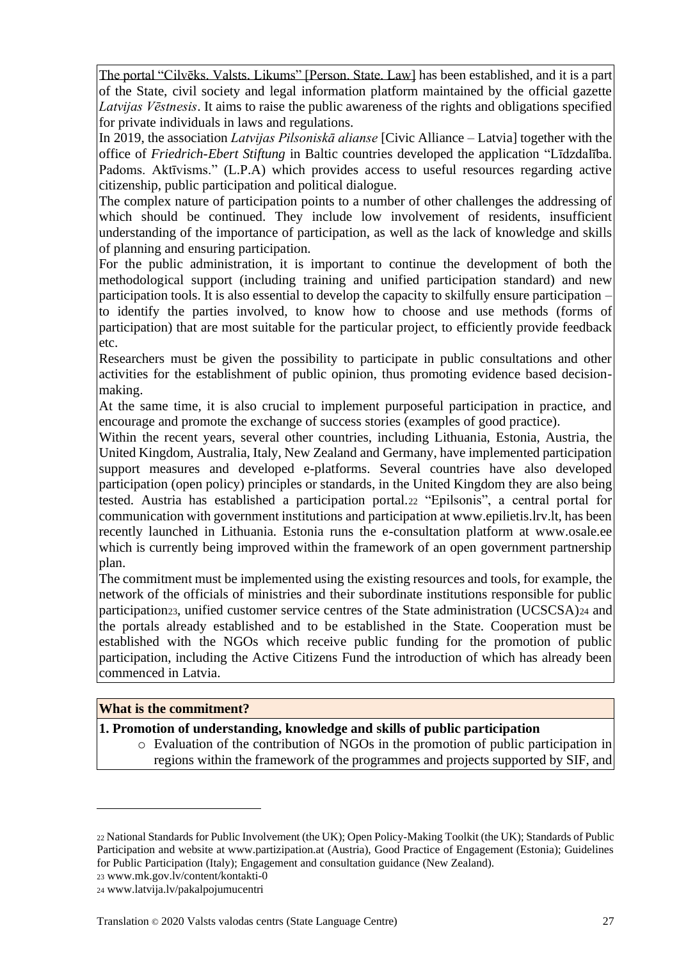The portal "Cilvēks. Valsts. Likums" [Person. State. Law] has been established, and it is a part of the State, civil society and legal information platform maintained by the official gazette *Latvijas Vēstnesis*. It aims to raise the public awareness of the rights and obligations specified for private individuals in laws and regulations.

In 2019, the association *Latvijas Pilsoniskā alianse* [Civic Alliance – Latvia] together with the office of *Friedrich-Ebert Stiftung* in Baltic countries developed the application "Līdzdalība. Padoms. Aktīvisms." (L.P.A) which provides access to useful resources regarding active citizenship, public participation and political dialogue.

The complex nature of participation points to a number of other challenges the addressing of which should be continued. They include low involvement of residents, insufficient understanding of the importance of participation, as well as the lack of knowledge and skills of planning and ensuring participation.

For the public administration, it is important to continue the development of both the methodological support (including training and unified participation standard) and new participation tools. It is also essential to develop the capacity to skilfully ensure participation – to identify the parties involved, to know how to choose and use methods (forms of participation) that are most suitable for the particular project, to efficiently provide feedback etc.

Researchers must be given the possibility to participate in public consultations and other activities for the establishment of public opinion, thus promoting evidence based decisionmaking.

At the same time, it is also crucial to implement purposeful participation in practice, and encourage and promote the exchange of success stories (examples of good practice).

Within the recent years, several other countries, including Lithuania, Estonia, Austria, the United Kingdom, Australia, Italy, New Zealand and Germany, have implemented participation support measures and developed e-platforms. Several countries have also developed participation (open policy) principles or standards, in the United Kingdom they are also being tested. Austria has established a participation portal.<sup>22</sup> "Epilsonis", a central portal for communication with government institutions and participation at www.epilietis.lrv.lt, has been recently launched in Lithuania. Estonia runs the e-consultation platform at www.osale.ee which is currently being improved within the framework of an open government partnership plan.

The commitment must be implemented using the existing resources and tools, for example, the network of the officials of ministries and their subordinate institutions responsible for public participation23, unified customer service centres of the State administration (UCSCSA)24 and the portals already established and to be established in the State. Cooperation must be established with the NGOs which receive public funding for the promotion of public participation, including the Active Citizens Fund the introduction of which has already been commenced in Latvia.

#### **What is the commitment?**

## **1. Promotion of understanding, knowledge and skills of public participation**

o Evaluation of the contribution of NGOs in the promotion of public participation in regions within the framework of the programmes and projects supported by SIF, and

<sup>22</sup> National Standards for Public Involvement (the UK); Open Policy-Making Toolkit (the UK); Standards of Public Participation and website at www.partizipation.at (Austria), Good Practice of Engagement (Estonia); Guidelines for Public Participation (Italy); Engagement and consultation guidance (New Zealand).

<sup>23</sup> www.mk.gov.lv/content/kontakti-0

<sup>24</sup> www.latvija.lv/pakalpojumucentri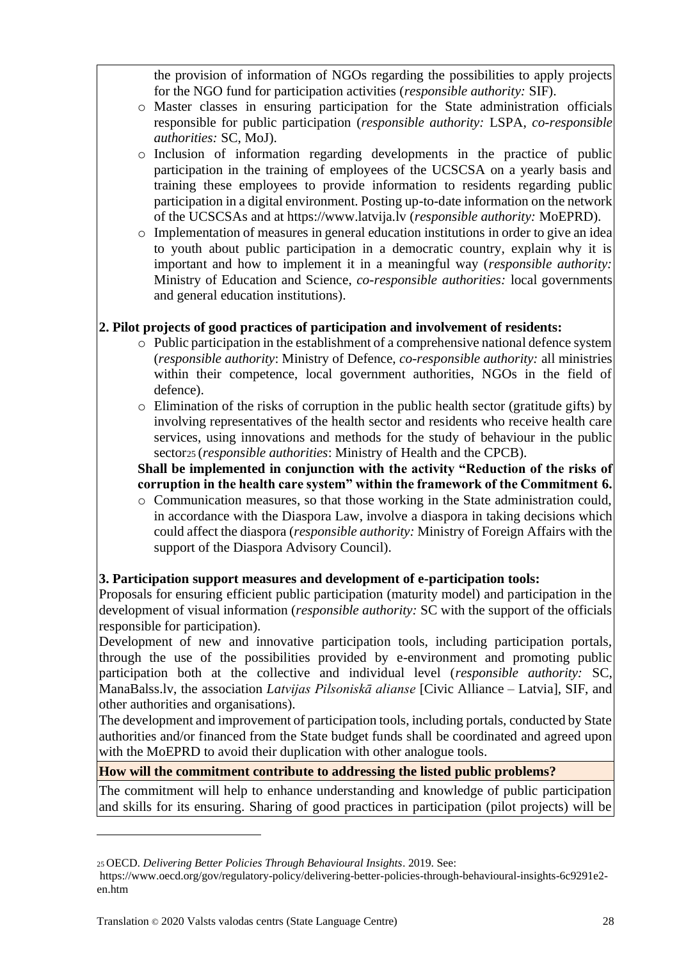the provision of information of NGOs regarding the possibilities to apply projects for the NGO fund for participation activities (*responsible authority:* SIF).

- o Master classes in ensuring participation for the State administration officials responsible for public participation (*responsible authority:* LSPA, *co-responsible authorities:* SC, MoJ).
- o Inclusion of information regarding developments in the practice of public participation in the training of employees of the UCSCSA on a yearly basis and training these employees to provide information to residents regarding public participation in a digital environment. Posting up-to-date information on the network of the UCSCSAs and at https://www.latvija.lv (*responsible authority:* MoEPRD).
- o Implementation of measures in general education institutions in order to give an idea to youth about public participation in a democratic country, explain why it is important and how to implement it in a meaningful way (*responsible authority:* Ministry of Education and Science, *co-responsible authorities:* local governments and general education institutions).

# **2. Pilot projects of good practices of participation and involvement of residents:**

- o Public participation in the establishment of a comprehensive national defence system (*responsible authority*: Ministry of Defence, *co-responsible authority:* all ministries within their competence, local government authorities, NGOs in the field of defence).
- $\circ$  Elimination of the risks of corruption in the public health sector (gratitude gifts) by involving representatives of the health sector and residents who receive health care services, using innovations and methods for the study of behaviour in the public sector<sup>25</sup> (*responsible authorities*: Ministry of Health and the CPCB).

**Shall be implemented in conjunction with the activity "Reduction of the risks of corruption in the health care system" within the framework of the Commitment 6.**

o Communication measures, so that those working in the State administration could, in accordance with the Diaspora Law, involve a diaspora in taking decisions which could affect the diaspora (*responsible authority:* Ministry of Foreign Affairs with the support of the Diaspora Advisory Council).

## **3. Participation support measures and development of e-participation tools:**

Proposals for ensuring efficient public participation (maturity model) and participation in the development of visual information (*responsible authority:* SC with the support of the officials responsible for participation).

Development of new and innovative participation tools, including participation portals, through the use of the possibilities provided by e-environment and promoting public participation both at the collective and individual level (*responsible authority:* SC, ManaBalss.lv, the association *Latvijas Pilsoniskā alianse* [Civic Alliance – Latvia], SIF, and other authorities and organisations).

The development and improvement of participation tools, including portals, conducted by State authorities and/or financed from the State budget funds shall be coordinated and agreed upon with the MoEPRD to avoid their duplication with other analogue tools.

## **How will the commitment contribute to addressing the listed public problems?**

The commitment will help to enhance understanding and knowledge of public participation and skills for its ensuring. Sharing of good practices in participation (pilot projects) will be

<sup>25</sup> OECD. *Delivering Better Policies Through Behavioural Insights*. 2019. See:

https://www.oecd.org/gov/regulatory-policy/delivering-better-policies-through-behavioural-insights-6c9291e2 en.htm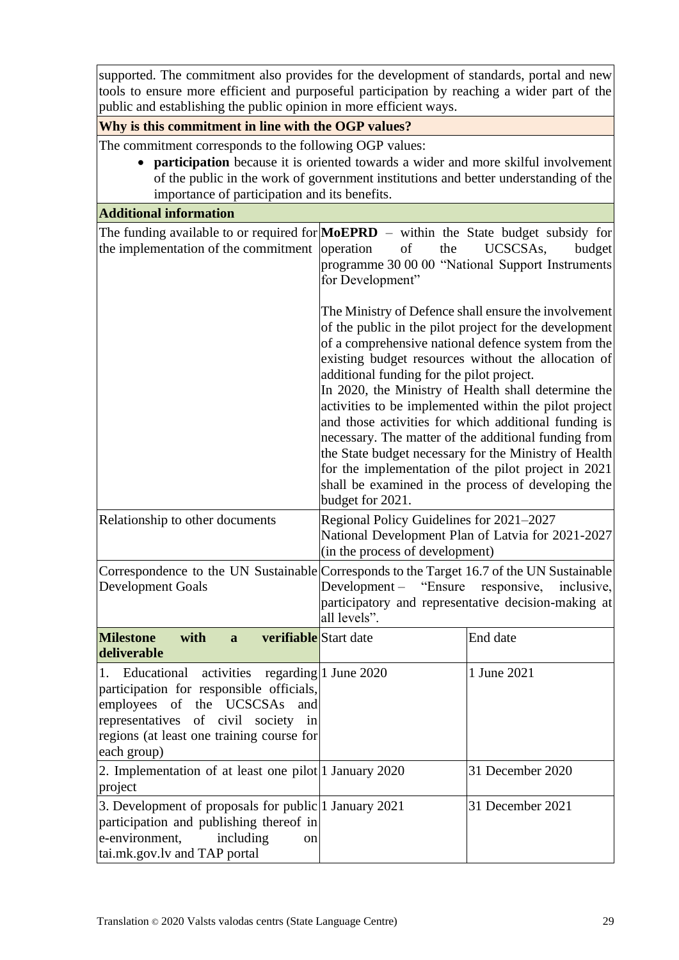supported. The commitment also provides for the development of standards, portal and new tools to ensure more efficient and purposeful participation by reaching a wider part of the public and establishing the public opinion in more efficient ways.

#### **Why is this commitment in line with the OGP values?**

The commitment corresponds to the following OGP values:

• **participation** because it is oriented towards a wider and more skilful involvement of the public in the work of government institutions and better understanding of the importance of participation and its benefits.

## **Additional information**

| the implementation of the commitment operation                                                                                                                                                                    | The funding available to or required for $MoEPRD -$ within the State budget subsidy for<br>$% \left( \left( \mathcal{A},\mathcal{A}\right) \right) =\left( \mathcal{A},\mathcal{A}\right)$ of<br>UCSCSAs,<br>budget<br>the<br>programme 30 00 00 "National Support Instruments<br>for Development"                                                                                                                                                                                                                                                                                                                                                                                                  |                  |
|-------------------------------------------------------------------------------------------------------------------------------------------------------------------------------------------------------------------|-----------------------------------------------------------------------------------------------------------------------------------------------------------------------------------------------------------------------------------------------------------------------------------------------------------------------------------------------------------------------------------------------------------------------------------------------------------------------------------------------------------------------------------------------------------------------------------------------------------------------------------------------------------------------------------------------------|------------------|
|                                                                                                                                                                                                                   | The Ministry of Defence shall ensure the involvement<br>of the public in the pilot project for the development<br>of a comprehensive national defence system from the<br>existing budget resources without the allocation of<br>additional funding for the pilot project.<br>In 2020, the Ministry of Health shall determine the<br>activities to be implemented within the pilot project<br>and those activities for which additional funding is<br>necessary. The matter of the additional funding from<br>the State budget necessary for the Ministry of Health<br>for the implementation of the pilot project in 2021<br>shall be examined in the process of developing the<br>budget for 2021. |                  |
| Relationship to other documents                                                                                                                                                                                   | Regional Policy Guidelines for 2021-2027<br>National Development Plan of Latvia for 2021-2027<br>(in the process of development)                                                                                                                                                                                                                                                                                                                                                                                                                                                                                                                                                                    |                  |
| <b>Development Goals</b>                                                                                                                                                                                          | Correspondence to the UN Sustainable Corresponds to the Target 16.7 of the UN Sustainable<br>Development – "Ensure responsive,<br>inclusive,<br>participatory and representative decision-making at<br>all levels".                                                                                                                                                                                                                                                                                                                                                                                                                                                                                 |                  |
| <b>Milestone</b><br>verifiable Start date<br>with<br>a<br>deliverable                                                                                                                                             |                                                                                                                                                                                                                                                                                                                                                                                                                                                                                                                                                                                                                                                                                                     | End date         |
| activities<br>Educational<br>1.<br>participation for responsible officials,<br>employees of the UCSCSAs<br>and<br>representatives of civil society in<br>regions (at least one training course for<br>each group) | regarding 1 June 2020                                                                                                                                                                                                                                                                                                                                                                                                                                                                                                                                                                                                                                                                               | 1 June 2021      |
| 2. Implementation of at least one pilot 1 January 2020<br>project                                                                                                                                                 |                                                                                                                                                                                                                                                                                                                                                                                                                                                                                                                                                                                                                                                                                                     | 31 December 2020 |
| 3. Development of proposals for public 1 January 2021<br>participation and publishing thereof in<br>e-environment,<br>including<br>on<br>tai.mk.gov.lv and TAP portal                                             |                                                                                                                                                                                                                                                                                                                                                                                                                                                                                                                                                                                                                                                                                                     | 31 December 2021 |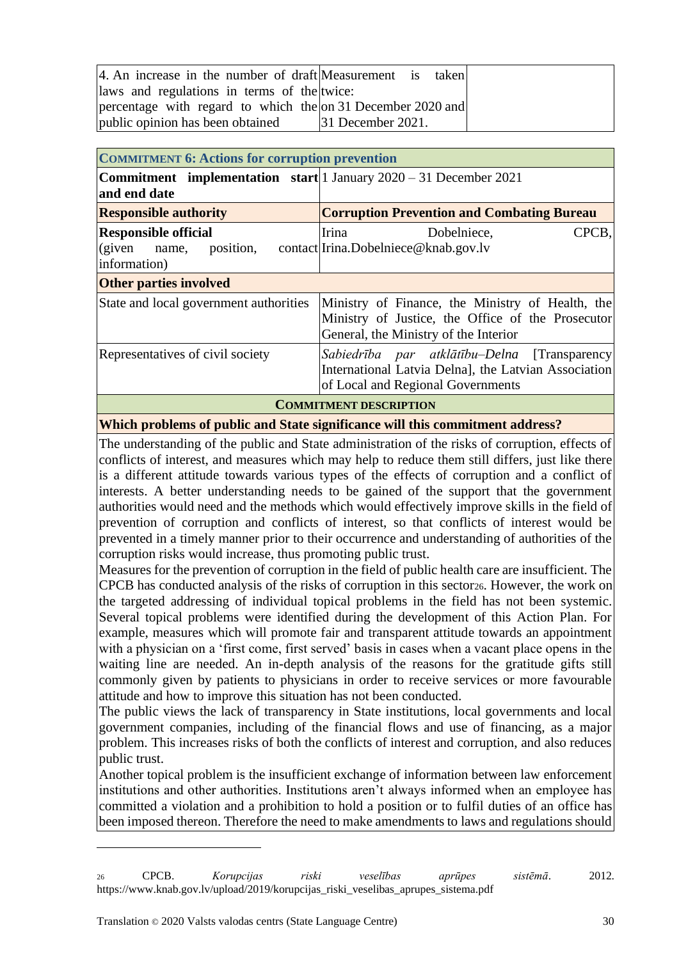| 4. An increase in the number of draft Measurement is taken  |                      |
|-------------------------------------------------------------|----------------------|
| laws and regulations in terms of the twice:                 |                      |
| percentage with regard to which the on 31 December 2020 and |                      |
| public opinion has been obtained                            | $ 31$ December 2021. |

<span id="page-29-0"></span>

| <b>COMMITMENT 6: Actions for corruption prevention</b>                                       |                                                                                                                                                |  |
|----------------------------------------------------------------------------------------------|------------------------------------------------------------------------------------------------------------------------------------------------|--|
| <b>Commitment</b> implementation start   1 January $2020 - 31$ December 2021<br>and end date |                                                                                                                                                |  |
| <b>Responsible authority</b>                                                                 | <b>Corruption Prevention and Combating Bureau</b>                                                                                              |  |
| <b>Responsible official</b><br>(given name,<br>information)                                  | CPCB,<br><b>Irina</b><br>Dobelniece,<br>position, contact Irina.Dobelniece@knab.gov.lv                                                         |  |
| <b>Other parties involved</b>                                                                |                                                                                                                                                |  |
| State and local government authorities                                                       | Ministry of Finance, the Ministry of Health, the<br>Ministry of Justice, the Office of the Prosecutor<br>General, the Ministry of the Interior |  |
| Representatives of civil society                                                             | Sabiedrība par atklātību–Delna [Transparency]<br>International Latvia Delna], the Latvian Association<br>of Local and Regional Governments     |  |
| <b>COMMITMENT DESCRIPTION</b>                                                                |                                                                                                                                                |  |

**Which problems of public and State significance will this commitment address?**

The understanding of the public and State administration of the risks of corruption, effects of conflicts of interest, and measures which may help to reduce them still differs, just like there is a different attitude towards various types of the effects of corruption and a conflict of interests. A better understanding needs to be gained of the support that the government authorities would need and the methods which would effectively improve skills in the field of prevention of corruption and conflicts of interest, so that conflicts of interest would be prevented in a timely manner prior to their occurrence and understanding of authorities of the corruption risks would increase, thus promoting public trust.

Measures for the prevention of corruption in the field of public health care are insufficient. The CPCB has conducted analysis of the risks of corruption in this sector26. However, the work on the targeted addressing of individual topical problems in the field has not been systemic. Several topical problems were identified during the development of this Action Plan. For example, measures which will promote fair and transparent attitude towards an appointment with a physician on a 'first come, first served' basis in cases when a vacant place opens in the waiting line are needed. An in-depth analysis of the reasons for the gratitude gifts still commonly given by patients to physicians in order to receive services or more favourable attitude and how to improve this situation has not been conducted.

The public views the lack of transparency in State institutions, local governments and local government companies, including of the financial flows and use of financing, as a major problem. This increases risks of both the conflicts of interest and corruption, and also reduces public trust.

Another topical problem is the insufficient exchange of information between law enforcement institutions and other authorities. Institutions aren't always informed when an employee has committed a violation and a prohibition to hold a position or to fulfil duties of an office has been imposed thereon. Therefore the need to make amendments to laws and regulations should

<sup>26</sup> CPCB. *Korupcijas riski veselības aprūpes sistēmā*. 2012. https://www.knab.gov.lv/upload/2019/korupcijas\_riski\_veselibas\_aprupes\_sistema.pdf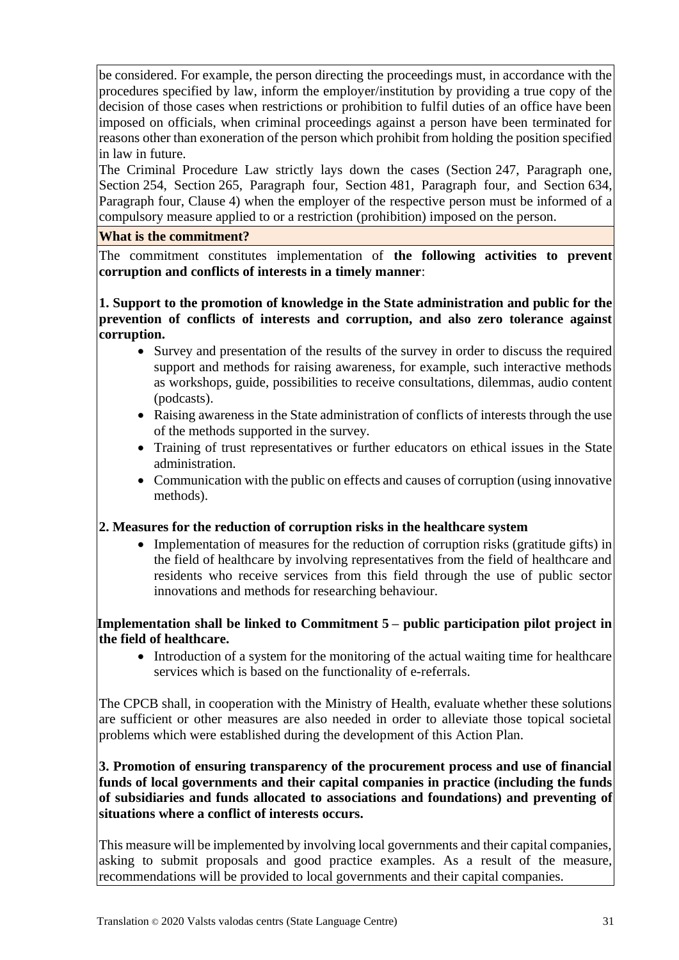be considered. For example, the person directing the proceedings must, in accordance with the procedures specified by law, inform the employer/institution by providing a true copy of the decision of those cases when restrictions or prohibition to fulfil duties of an office have been imposed on officials, when criminal proceedings against a person have been terminated for reasons other than exoneration of the person which prohibit from holding the position specified in law in future.

The Criminal Procedure Law strictly lays down the cases (Section 247, Paragraph one, Section 254, Section 265, Paragraph four, Section 481, Paragraph four, and Section 634, Paragraph four, Clause 4) when the employer of the respective person must be informed of a compulsory measure applied to or a restriction (prohibition) imposed on the person.

#### **What is the commitment?**

The commitment constitutes implementation of **the following activities to prevent corruption and conflicts of interests in a timely manner**:

**1. Support to the promotion of knowledge in the State administration and public for the prevention of conflicts of interests and corruption, and also zero tolerance against corruption.**

- Survey and presentation of the results of the survey in order to discuss the required support and methods for raising awareness, for example, such interactive methods as workshops, guide, possibilities to receive consultations, dilemmas, audio content (podcasts).
- Raising awareness in the State administration of conflicts of interests through the use of the methods supported in the survey*.*
- Training of trust representatives or further educators on ethical issues in the State administration.
- Communication with the public on effects and causes of corruption (using innovative methods).

## **2. Measures for the reduction of corruption risks in the healthcare system**

• Implementation of measures for the reduction of corruption risks (gratitude gifts) in the field of healthcare by involving representatives from the field of healthcare and residents who receive services from this field through the use of public sector innovations and methods for researching behaviour.

# **Implementation shall be linked to Commitment 5 – public participation pilot project in the field of healthcare.**

• Introduction of a system for the monitoring of the actual waiting time for healthcare services which is based on the functionality of e-referrals.

The CPCB shall, in cooperation with the Ministry of Health, evaluate whether these solutions are sufficient or other measures are also needed in order to alleviate those topical societal problems which were established during the development of this Action Plan.

#### **3. Promotion of ensuring transparency of the procurement process and use of financial funds of local governments and their capital companies in practice (including the funds of subsidiaries and funds allocated to associations and foundations) and preventing of situations where a conflict of interests occurs.**

This measure will be implemented by involving local governments and their capital companies, asking to submit proposals and good practice examples. As a result of the measure, recommendations will be provided to local governments and their capital companies.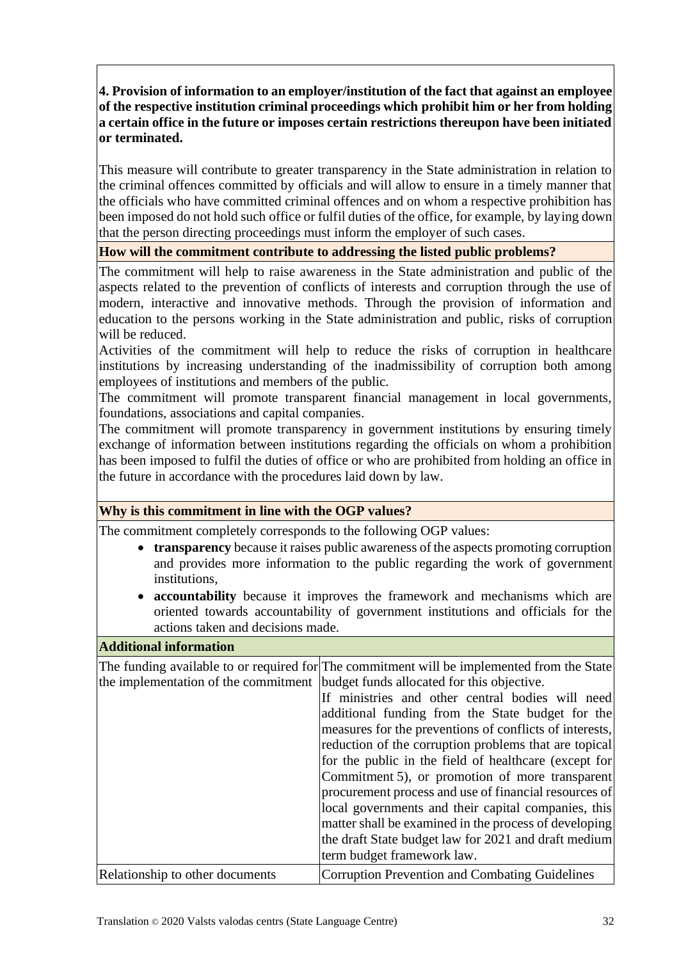**4. Provision of information to an employer/institution of the fact that against an employee of the respective institution criminal proceedings which prohibit him or her from holding a certain office in the future or imposes certain restrictions thereupon have been initiated or terminated.**

This measure will contribute to greater transparency in the State administration in relation to the criminal offences committed by officials and will allow to ensure in a timely manner that the officials who have committed criminal offences and on whom a respective prohibition has been imposed do not hold such office or fulfil duties of the office, for example, by laying down that the person directing proceedings must inform the employer of such cases.

#### **How will the commitment contribute to addressing the listed public problems?**

The commitment will help to raise awareness in the State administration and public of the aspects related to the prevention of conflicts of interests and corruption through the use of modern, interactive and innovative methods. Through the provision of information and education to the persons working in the State administration and public, risks of corruption will be reduced.

Activities of the commitment will help to reduce the risks of corruption in healthcare institutions by increasing understanding of the inadmissibility of corruption both among employees of institutions and members of the public.

The commitment will promote transparent financial management in local governments, foundations, associations and capital companies.

The commitment will promote transparency in government institutions by ensuring timely exchange of information between institutions regarding the officials on whom a prohibition has been imposed to fulfil the duties of office or who are prohibited from holding an office in the future in accordance with the procedures laid down by law.

## **Why is this commitment in line with the OGP values?**

The commitment completely corresponds to the following OGP values:

- **transparency** because it raises public awareness of the aspects promoting corruption and provides more information to the public regarding the work of government institutions,
- **accountability** because it improves the framework and mechanisms which are oriented towards accountability of government institutions and officials for the actions taken and decisions made.

#### **Additional information**

The funding available to or required for The commitment will be implemented from the State the implementation of the commitment budget funds allocated for this objective.

|                                 | If ministries and other central bodies will need        |
|---------------------------------|---------------------------------------------------------|
|                                 | additional funding from the State budget for the        |
|                                 | measures for the preventions of conflicts of interests, |
|                                 | reduction of the corruption problems that are topical   |
|                                 | for the public in the field of healthcare (except for   |
|                                 | Commitment 5), or promotion of more transparent         |
|                                 | procurement process and use of financial resources of   |
|                                 | local governments and their capital companies, this     |
|                                 | matter shall be examined in the process of developing   |
|                                 | the draft State budget law for 2021 and draft medium    |
|                                 | term budget framework law.                              |
| Relationship to other documents | Corruption Prevention and Combating Guidelines          |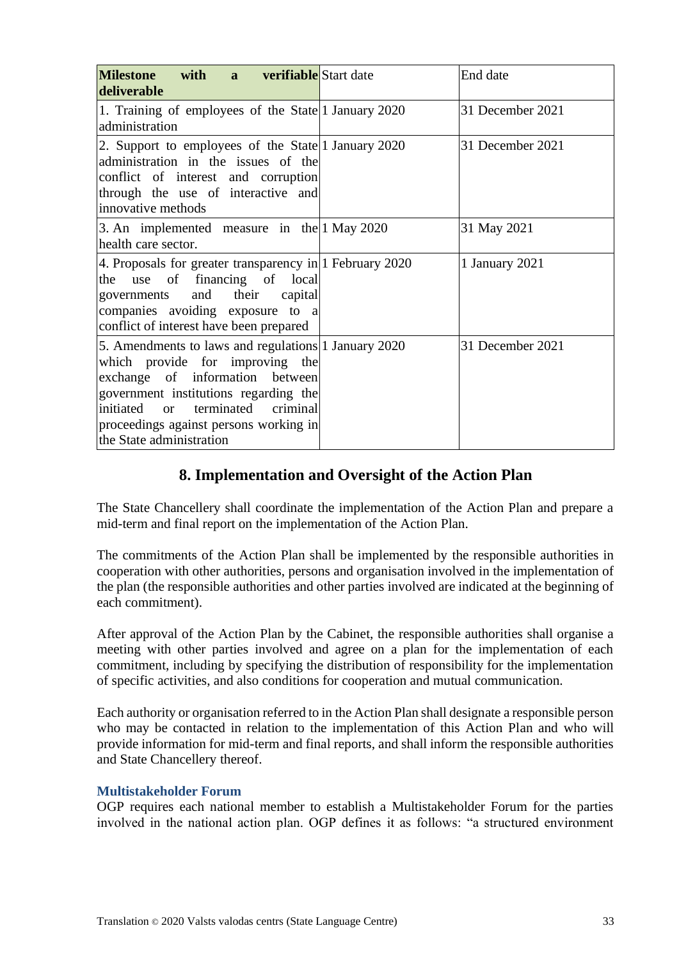| <b>12.13 12.13 12.14 12.14 12.14 12.14 12.14 12.14 12.14 12.14 12.14 12.14 12.14 12.14 12.14 12.14 12.14 12.14 12.14 12.14 12.14 12.14 12.14 12.14 12.14 12.14 12.14 12.14</b><br><b>Milestone</b><br>deliverable                                                             | End date         |
|-------------------------------------------------------------------------------------------------------------------------------------------------------------------------------------------------------------------------------------------------------------------------------|------------------|
| 1. Training of employees of the State 1 January 2020<br>administration                                                                                                                                                                                                        | 31 December 2021 |
| 2. Support to employees of the State 1 January 2020<br>administration in the issues of the<br>conflict of interest and corruption<br>through the use of interactive and<br>innovative methods                                                                                 | 31 December 2021 |
| 3. An implemented measure in the 1 May 2020<br>health care sector.                                                                                                                                                                                                            | 31 May 2021      |
| 4. Proposals for greater transparency in 1 February 2020<br>use of financing of local<br>the<br>governments and their capital<br>companies avoiding exposure to a<br>conflict of interest have been prepared                                                                  | 1 January 2021   |
| 5. Amendments to laws and regulations 1 January 2020<br>which provide for improving the<br>exchange of information between<br>government institutions regarding the<br>initiated or terminated criminal<br>proceedings against persons working in<br>the State administration | 31 December 2021 |

# **8. Implementation and Oversight of the Action Plan**

<span id="page-32-0"></span>The State Chancellery shall coordinate the implementation of the Action Plan and prepare a mid-term and final report on the implementation of the Action Plan.

The commitments of the Action Plan shall be implemented by the responsible authorities in cooperation with other authorities, persons and organisation involved in the implementation of the plan (the responsible authorities and other parties involved are indicated at the beginning of each commitment).

After approval of the Action Plan by the Cabinet, the responsible authorities shall organise a meeting with other parties involved and agree on a plan for the implementation of each commitment, including by specifying the distribution of responsibility for the implementation of specific activities, and also conditions for cooperation and mutual communication.

Each authority or organisation referred to in the Action Plan shall designate a responsible person who may be contacted in relation to the implementation of this Action Plan and who will provide information for mid-term and final reports, and shall inform the responsible authorities and State Chancellery thereof.

## <span id="page-32-1"></span>**Multistakeholder Forum**

OGP requires each national member to establish a Multistakeholder Forum for the parties involved in the national action plan. OGP defines it as follows: "a structured environment